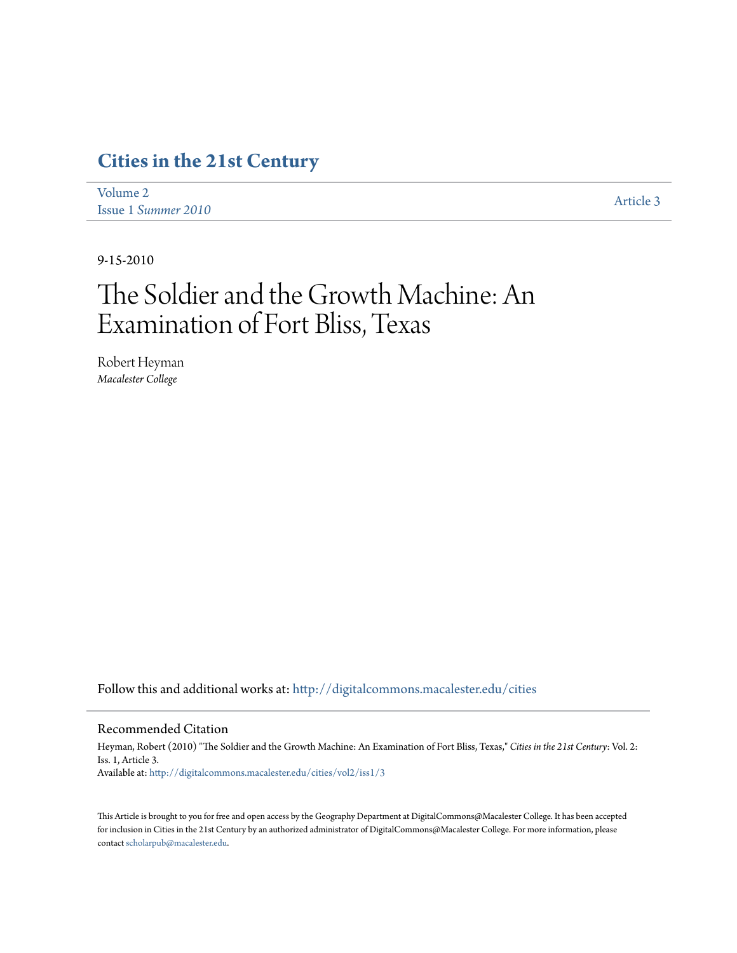## **[Cities in the 21st Century](http://digitalcommons.macalester.edu/cities?utm_source=digitalcommons.macalester.edu%2Fcities%2Fvol2%2Fiss1%2F3&utm_medium=PDF&utm_campaign=PDFCoverPages)**

| Volume 2            | Article 3 |
|---------------------|-----------|
| Issue 1 Summer 2010 |           |

9-15-2010

# The Soldier and the Growth Machine: An Examination of Fort Bliss, Texas

Robert Heyman *Macalester College*

Follow this and additional works at: [http://digitalcommons.macalester.edu/cities](http://digitalcommons.macalester.edu/cities?utm_source=digitalcommons.macalester.edu%2Fcities%2Fvol2%2Fiss1%2F3&utm_medium=PDF&utm_campaign=PDFCoverPages)

#### Recommended Citation

Heyman, Robert (2010) "The Soldier and the Growth Machine: An Examination of Fort Bliss, Texas," *Cities in the 21st Century*: Vol. 2: Iss. 1, Article 3. Available at: [http://digitalcommons.macalester.edu/cities/vol2/iss1/3](http://digitalcommons.macalester.edu/cities/vol2/iss1/3?utm_source=digitalcommons.macalester.edu%2Fcities%2Fvol2%2Fiss1%2F3&utm_medium=PDF&utm_campaign=PDFCoverPages)

This Article is brought to you for free and open access by the Geography Department at DigitalCommons@Macalester College. It has been accepted for inclusion in Cities in the 21st Century by an authorized administrator of DigitalCommons@Macalester College. For more information, please contact [scholarpub@macalester.edu.](mailto:scholarpub@macalester.edu)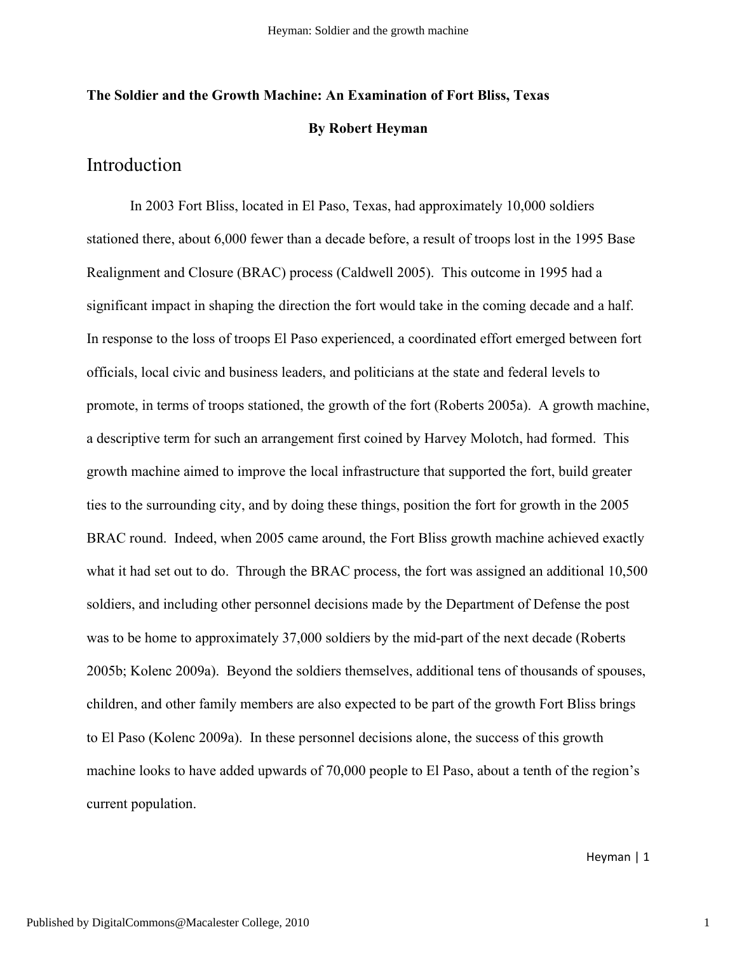## **The Soldier and the Growth Machine: An Examination of Fort Bliss, Texas By Robert Heyman**

## Introduction

In 2003 Fort Bliss, located in El Paso, Texas, had approximately 10,000 soldiers stationed there, about 6,000 fewer than a decade before, a result of troops lost in the 1995 Base Realignment and Closure (BRAC) process (Caldwell 2005). This outcome in 1995 had a significant impact in shaping the direction the fort would take in the coming decade and a half. In response to the loss of troops El Paso experienced, a coordinated effort emerged between fort officials, local civic and business leaders, and politicians at the state and federal levels to promote, in terms of troops stationed, the growth of the fort (Roberts 2005a). A growth machine, a descriptive term for such an arrangement first coined by Harvey Molotch, had formed. This growth machine aimed to improve the local infrastructure that supported the fort, build greater ties to the surrounding city, and by doing these things, position the fort for growth in the 2005 BRAC round. Indeed, when 2005 came around, the Fort Bliss growth machine achieved exactly what it had set out to do. Through the BRAC process, the fort was assigned an additional 10,500 soldiers, and including other personnel decisions made by the Department of Defense the post was to be home to approximately 37,000 soldiers by the mid-part of the next decade (Roberts 2005b; Kolenc 2009a). Beyond the soldiers themselves, additional tens of thousands of spouses, children, and other family members are also expected to be part of the growth Fort Bliss brings to El Paso (Kolenc 2009a). In these personnel decisions alone, the success of this growth machine looks to have added upwards of 70,000 people to El Paso, about a tenth of the region's current population.

Heyman | 1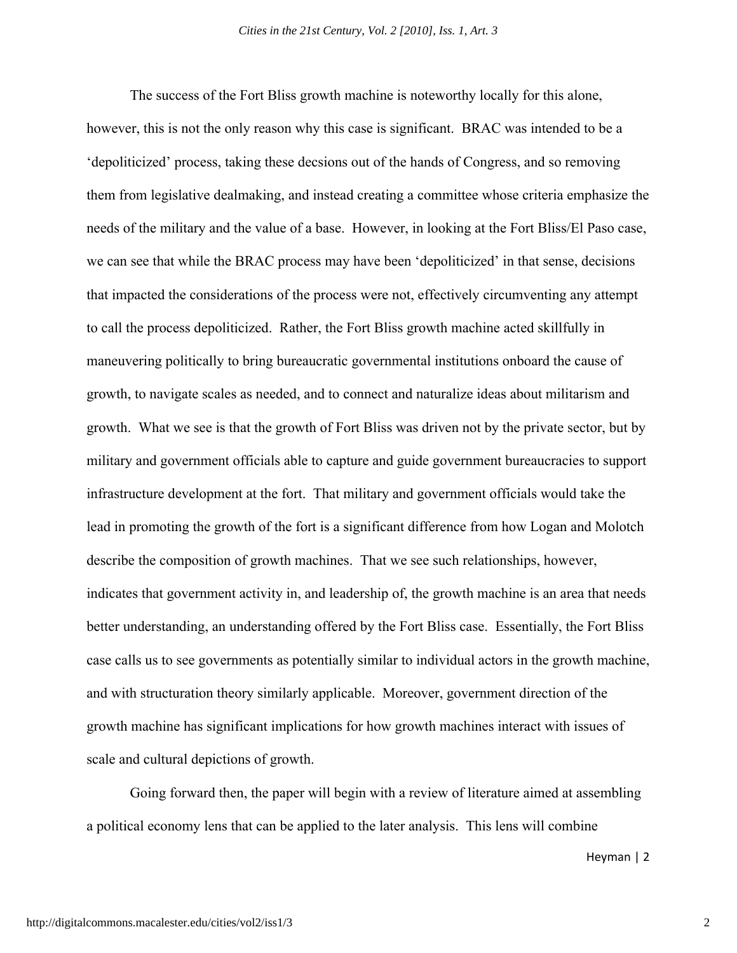The success of the Fort Bliss growth machine is noteworthy locally for this alone, however, this is not the only reason why this case is significant. BRAC was intended to be a 'depoliticized' process, taking these decsions out of the hands of Congress, and so removing them from legislative dealmaking, and instead creating a committee whose criteria emphasize the needs of the military and the value of a base. However, in looking at the Fort Bliss/El Paso case, we can see that while the BRAC process may have been 'depoliticized' in that sense, decisions that impacted the considerations of the process were not, effectively circumventing any attempt to call the process depoliticized. Rather, the Fort Bliss growth machine acted skillfully in maneuvering politically to bring bureaucratic governmental institutions onboard the cause of growth, to navigate scales as needed, and to connect and naturalize ideas about militarism and growth. What we see is that the growth of Fort Bliss was driven not by the private sector, but by military and government officials able to capture and guide government bureaucracies to support infrastructure development at the fort. That military and government officials would take the lead in promoting the growth of the fort is a significant difference from how Logan and Molotch describe the composition of growth machines. That we see such relationships, however, indicates that government activity in, and leadership of, the growth machine is an area that needs better understanding, an understanding offered by the Fort Bliss case. Essentially, the Fort Bliss case calls us to see governments as potentially similar to individual actors in the growth machine, and with structuration theory similarly applicable. Moreover, government direction of the growth machine has significant implications for how growth machines interact with issues of scale and cultural depictions of growth.

Going forward then, the paper will begin with a review of literature aimed at assembling a political economy lens that can be applied to the later analysis. This lens will combine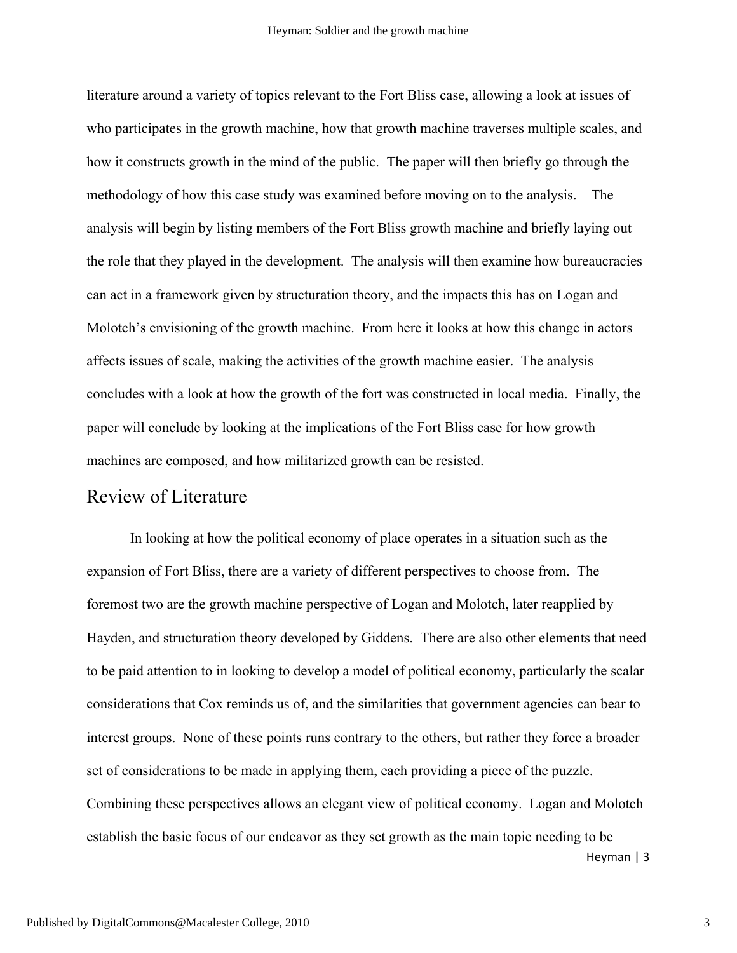literature around a variety of topics relevant to the Fort Bliss case, allowing a look at issues of who participates in the growth machine, how that growth machine traverses multiple scales, and how it constructs growth in the mind of the public. The paper will then briefly go through the methodology of how this case study was examined before moving on to the analysis. The analysis will begin by listing members of the Fort Bliss growth machine and briefly laying out the role that they played in the development. The analysis will then examine how bureaucracies can act in a framework given by structuration theory, and the impacts this has on Logan and Molotch's envisioning of the growth machine. From here it looks at how this change in actors affects issues of scale, making the activities of the growth machine easier. The analysis concludes with a look at how the growth of the fort was constructed in local media. Finally, the paper will conclude by looking at the implications of the Fort Bliss case for how growth machines are composed, and how militarized growth can be resisted.

## Review of Literature

In looking at how the political economy of place operates in a situation such as the expansion of Fort Bliss, there are a variety of different perspectives to choose from. The foremost two are the growth machine perspective of Logan and Molotch, later reapplied by Hayden, and structuration theory developed by Giddens. There are also other elements that need to be paid attention to in looking to develop a model of political economy, particularly the scalar considerations that Cox reminds us of, and the similarities that government agencies can bear to interest groups. None of these points runs contrary to the others, but rather they force a broader set of considerations to be made in applying them, each providing a piece of the puzzle. Combining these perspectives allows an elegant view of political economy. Logan and Molotch establish the basic focus of our endeavor as they set growth as the main topic needing to be

Heyman | 3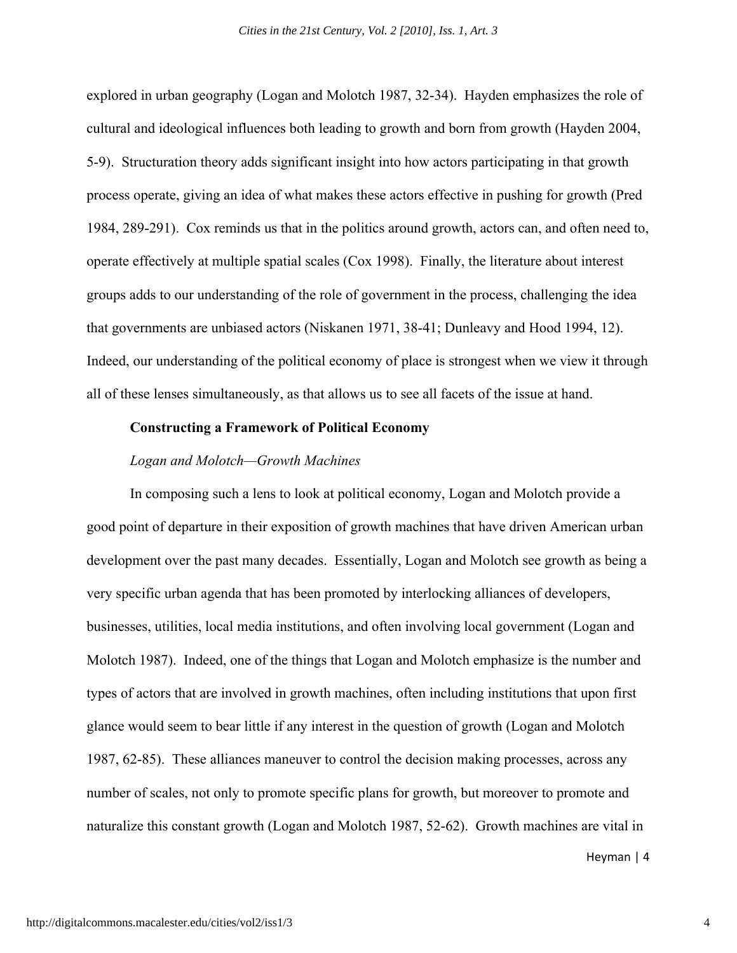explored in urban geography (Logan and Molotch 1987, 32-34). Hayden emphasizes the role of cultural and ideological influences both leading to growth and born from growth (Hayden 2004, 5-9). Structuration theory adds significant insight into how actors participating in that growth process operate, giving an idea of what makes these actors effective in pushing for growth (Pred 1984, 289-291). Cox reminds us that in the politics around growth, actors can, and often need to, operate effectively at multiple spatial scales (Cox 1998). Finally, the literature about interest groups adds to our understanding of the role of government in the process, challenging the idea that governments are unbiased actors (Niskanen 1971, 38-41; Dunleavy and Hood 1994, 12). Indeed, our understanding of the political economy of place is strongest when we view it through all of these lenses simultaneously, as that allows us to see all facets of the issue at hand.

#### **Constructing a Framework of Political Economy**

#### *Logan and Molotch—Growth Machines*

In composing such a lens to look at political economy, Logan and Molotch provide a good point of departure in their exposition of growth machines that have driven American urban development over the past many decades. Essentially, Logan and Molotch see growth as being a very specific urban agenda that has been promoted by interlocking alliances of developers, businesses, utilities, local media institutions, and often involving local government (Logan and Molotch 1987). Indeed, one of the things that Logan and Molotch emphasize is the number and types of actors that are involved in growth machines, often including institutions that upon first glance would seem to bear little if any interest in the question of growth (Logan and Molotch 1987, 62-85). These alliances maneuver to control the decision making processes, across any number of scales, not only to promote specific plans for growth, but moreover to promote and naturalize this constant growth (Logan and Molotch 1987, 52-62). Growth machines are vital in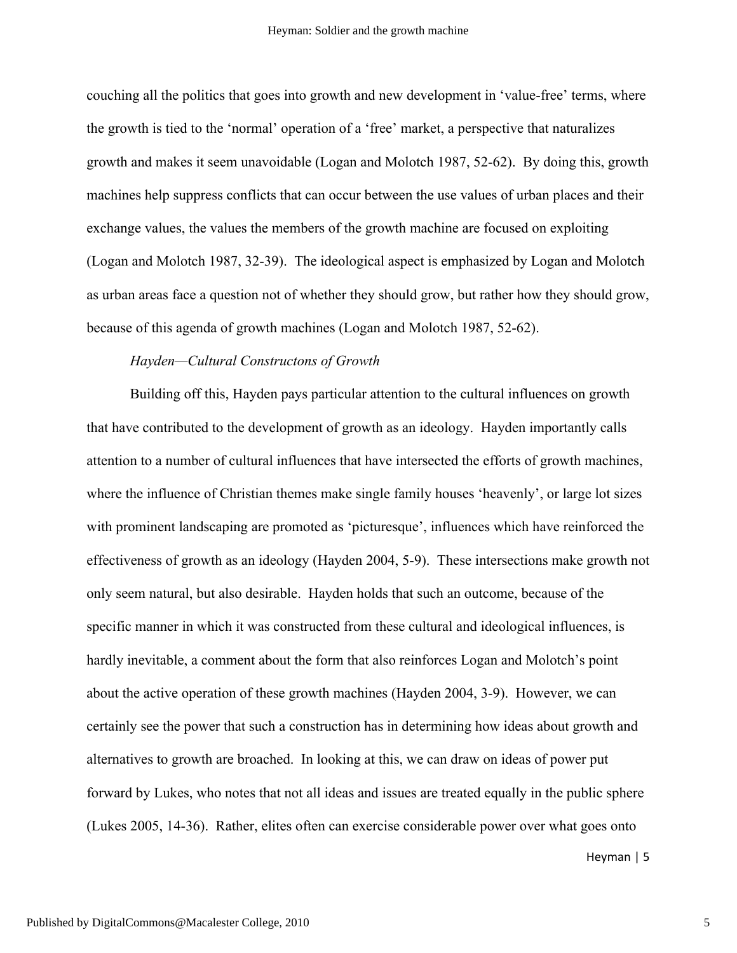couching all the politics that goes into growth and new development in 'value-free' terms, where the growth is tied to the 'normal' operation of a 'free' market, a perspective that naturalizes growth and makes it seem unavoidable (Logan and Molotch 1987, 52-62). By doing this, growth machines help suppress conflicts that can occur between the use values of urban places and their exchange values, the values the members of the growth machine are focused on exploiting (Logan and Molotch 1987, 32-39). The ideological aspect is emphasized by Logan and Molotch as urban areas face a question not of whether they should grow, but rather how they should grow, because of this agenda of growth machines (Logan and Molotch 1987, 52-62).

#### *Hayden—Cultural Constructons of Growth*

Building off this, Hayden pays particular attention to the cultural influences on growth that have contributed to the development of growth as an ideology. Hayden importantly calls attention to a number of cultural influences that have intersected the efforts of growth machines, where the influence of Christian themes make single family houses 'heavenly', or large lot sizes with prominent landscaping are promoted as 'picturesque', influences which have reinforced the effectiveness of growth as an ideology (Hayden 2004, 5-9). These intersections make growth not only seem natural, but also desirable. Hayden holds that such an outcome, because of the specific manner in which it was constructed from these cultural and ideological influences, is hardly inevitable, a comment about the form that also reinforces Logan and Molotch's point about the active operation of these growth machines (Hayden 2004, 3-9). However, we can certainly see the power that such a construction has in determining how ideas about growth and alternatives to growth are broached. In looking at this, we can draw on ideas of power put forward by Lukes, who notes that not all ideas and issues are treated equally in the public sphere (Lukes 2005, 14-36). Rather, elites often can exercise considerable power over what goes onto

Heyman | 5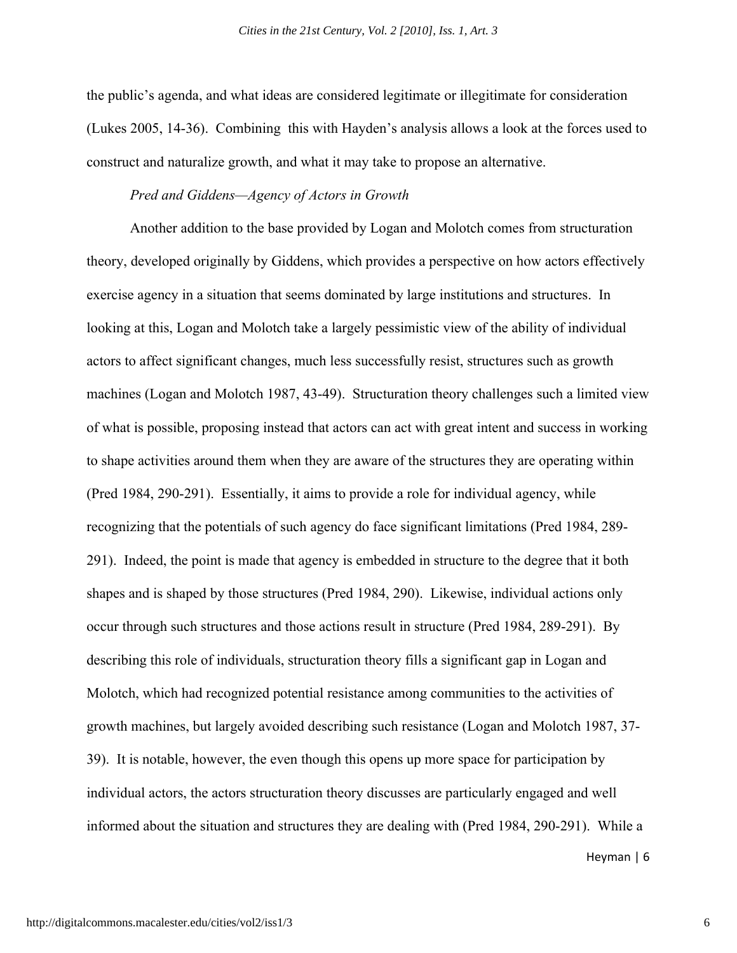the public's agenda, and what ideas are considered legitimate or illegitimate for consideration (Lukes 2005, 14-36). Combining this with Hayden's analysis allows a look at the forces used to construct and naturalize growth, and what it may take to propose an alternative.

#### *Pred and Giddens—Agency of Actors in Growth*

Another addition to the base provided by Logan and Molotch comes from structuration theory, developed originally by Giddens, which provides a perspective on how actors effectively exercise agency in a situation that seems dominated by large institutions and structures. In looking at this, Logan and Molotch take a largely pessimistic view of the ability of individual actors to affect significant changes, much less successfully resist, structures such as growth machines (Logan and Molotch 1987, 43-49). Structuration theory challenges such a limited view of what is possible, proposing instead that actors can act with great intent and success in working to shape activities around them when they are aware of the structures they are operating within (Pred 1984, 290-291). Essentially, it aims to provide a role for individual agency, while recognizing that the potentials of such agency do face significant limitations (Pred 1984, 289- 291). Indeed, the point is made that agency is embedded in structure to the degree that it both shapes and is shaped by those structures (Pred 1984, 290). Likewise, individual actions only occur through such structures and those actions result in structure (Pred 1984, 289-291). By describing this role of individuals, structuration theory fills a significant gap in Logan and Molotch, which had recognized potential resistance among communities to the activities of growth machines, but largely avoided describing such resistance (Logan and Molotch 1987, 37- 39). It is notable, however, the even though this opens up more space for participation by individual actors, the actors structuration theory discusses are particularly engaged and well informed about the situation and structures they are dealing with (Pred 1984, 290-291). While a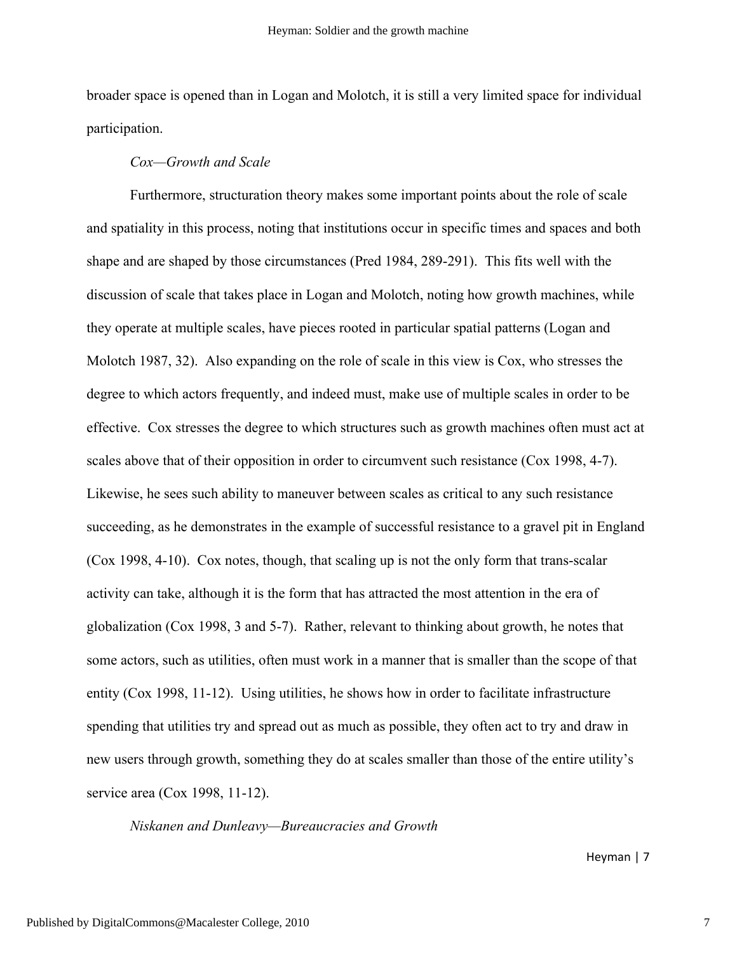broader space is opened than in Logan and Molotch, it is still a very limited space for individual participation.

#### *Cox—Growth and Scale*

Furthermore, structuration theory makes some important points about the role of scale and spatiality in this process, noting that institutions occur in specific times and spaces and both shape and are shaped by those circumstances (Pred 1984, 289-291). This fits well with the discussion of scale that takes place in Logan and Molotch, noting how growth machines, while they operate at multiple scales, have pieces rooted in particular spatial patterns (Logan and Molotch 1987, 32). Also expanding on the role of scale in this view is Cox, who stresses the degree to which actors frequently, and indeed must, make use of multiple scales in order to be effective. Cox stresses the degree to which structures such as growth machines often must act at scales above that of their opposition in order to circumvent such resistance (Cox 1998, 4-7). Likewise, he sees such ability to maneuver between scales as critical to any such resistance succeeding, as he demonstrates in the example of successful resistance to a gravel pit in England (Cox 1998, 4-10). Cox notes, though, that scaling up is not the only form that trans-scalar activity can take, although it is the form that has attracted the most attention in the era of globalization (Cox 1998, 3 and 5-7). Rather, relevant to thinking about growth, he notes that some actors, such as utilities, often must work in a manner that is smaller than the scope of that entity (Cox 1998, 11-12). Using utilities, he shows how in order to facilitate infrastructure spending that utilities try and spread out as much as possible, they often act to try and draw in new users through growth, something they do at scales smaller than those of the entire utility's service area (Cox 1998, 11-12).

*Niskanen and Dunleavy—Bureaucracies and Growth*

Heyman | 7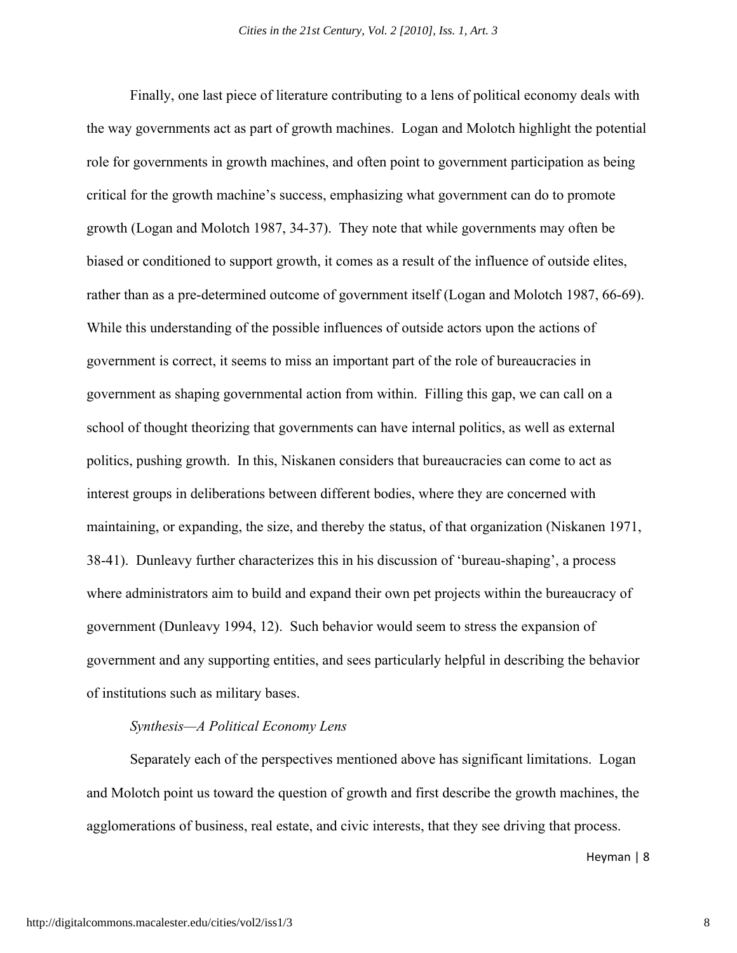Finally, one last piece of literature contributing to a lens of political economy deals with the way governments act as part of growth machines. Logan and Molotch highlight the potential role for governments in growth machines, and often point to government participation as being critical for the growth machine's success, emphasizing what government can do to promote growth (Logan and Molotch 1987, 34-37). They note that while governments may often be biased or conditioned to support growth, it comes as a result of the influence of outside elites, rather than as a pre-determined outcome of government itself (Logan and Molotch 1987, 66-69). While this understanding of the possible influences of outside actors upon the actions of government is correct, it seems to miss an important part of the role of bureaucracies in government as shaping governmental action from within. Filling this gap, we can call on a school of thought theorizing that governments can have internal politics, as well as external politics, pushing growth. In this, Niskanen considers that bureaucracies can come to act as interest groups in deliberations between different bodies, where they are concerned with maintaining, or expanding, the size, and thereby the status, of that organization (Niskanen 1971, 38-41). Dunleavy further characterizes this in his discussion of 'bureau-shaping', a process where administrators aim to build and expand their own pet projects within the bureaucracy of government (Dunleavy 1994, 12). Such behavior would seem to stress the expansion of government and any supporting entities, and sees particularly helpful in describing the behavior of institutions such as military bases.

#### *Synthesis—A Political Economy Lens*

Separately each of the perspectives mentioned above has significant limitations. Logan and Molotch point us toward the question of growth and first describe the growth machines, the agglomerations of business, real estate, and civic interests, that they see driving that process.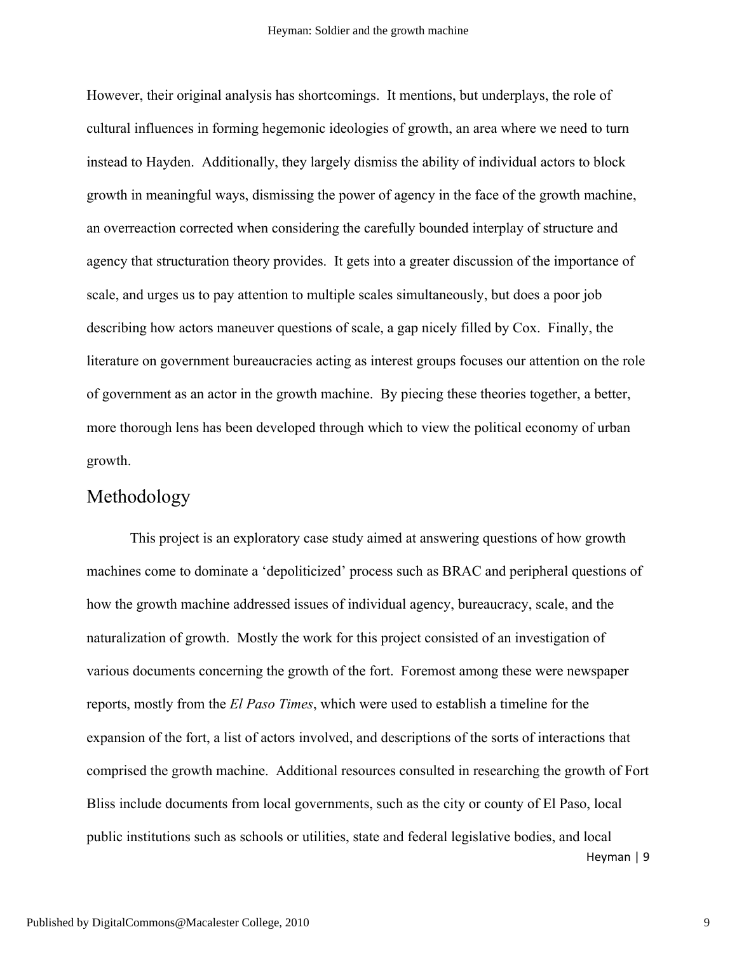However, their original analysis has shortcomings. It mentions, but underplays, the role of cultural influences in forming hegemonic ideologies of growth, an area where we need to turn instead to Hayden. Additionally, they largely dismiss the ability of individual actors to block growth in meaningful ways, dismissing the power of agency in the face of the growth machine, an overreaction corrected when considering the carefully bounded interplay of structure and agency that structuration theory provides. It gets into a greater discussion of the importance of scale, and urges us to pay attention to multiple scales simultaneously, but does a poor job describing how actors maneuver questions of scale, a gap nicely filled by Cox. Finally, the literature on government bureaucracies acting as interest groups focuses our attention on the role of government as an actor in the growth machine. By piecing these theories together, a better, more thorough lens has been developed through which to view the political economy of urban growth.

## Methodology

Heyman | 9 This project is an exploratory case study aimed at answering questions of how growth machines come to dominate a 'depoliticized' process such as BRAC and peripheral questions of how the growth machine addressed issues of individual agency, bureaucracy, scale, and the naturalization of growth. Mostly the work for this project consisted of an investigation of various documents concerning the growth of the fort. Foremost among these were newspaper reports, mostly from the *El Paso Times*, which were used to establish a timeline for the expansion of the fort, a list of actors involved, and descriptions of the sorts of interactions that comprised the growth machine. Additional resources consulted in researching the growth of Fort Bliss include documents from local governments, such as the city or county of El Paso, local public institutions such as schools or utilities, state and federal legislative bodies, and local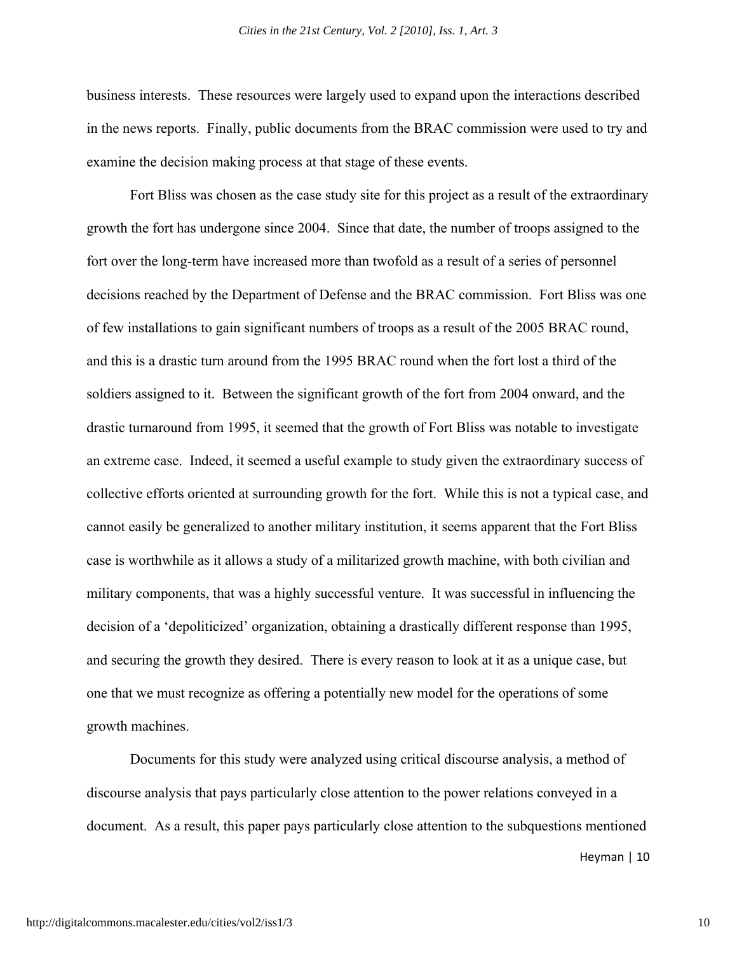business interests. These resources were largely used to expand upon the interactions described in the news reports. Finally, public documents from the BRAC commission were used to try and examine the decision making process at that stage of these events.

Fort Bliss was chosen as the case study site for this project as a result of the extraordinary growth the fort has undergone since 2004. Since that date, the number of troops assigned to the fort over the long-term have increased more than twofold as a result of a series of personnel decisions reached by the Department of Defense and the BRAC commission. Fort Bliss was one of few installations to gain significant numbers of troops as a result of the 2005 BRAC round, and this is a drastic turn around from the 1995 BRAC round when the fort lost a third of the soldiers assigned to it. Between the significant growth of the fort from 2004 onward, and the drastic turnaround from 1995, it seemed that the growth of Fort Bliss was notable to investigate an extreme case. Indeed, it seemed a useful example to study given the extraordinary success of collective efforts oriented at surrounding growth for the fort. While this is not a typical case, and cannot easily be generalized to another military institution, it seems apparent that the Fort Bliss case is worthwhile as it allows a study of a militarized growth machine, with both civilian and military components, that was a highly successful venture. It was successful in influencing the decision of a 'depoliticized' organization, obtaining a drastically different response than 1995, and securing the growth they desired. There is every reason to look at it as a unique case, but one that we must recognize as offering a potentially new model for the operations of some growth machines.

Documents for this study were analyzed using critical discourse analysis, a method of discourse analysis that pays particularly close attention to the power relations conveyed in a document. As a result, this paper pays particularly close attention to the subquestions mentioned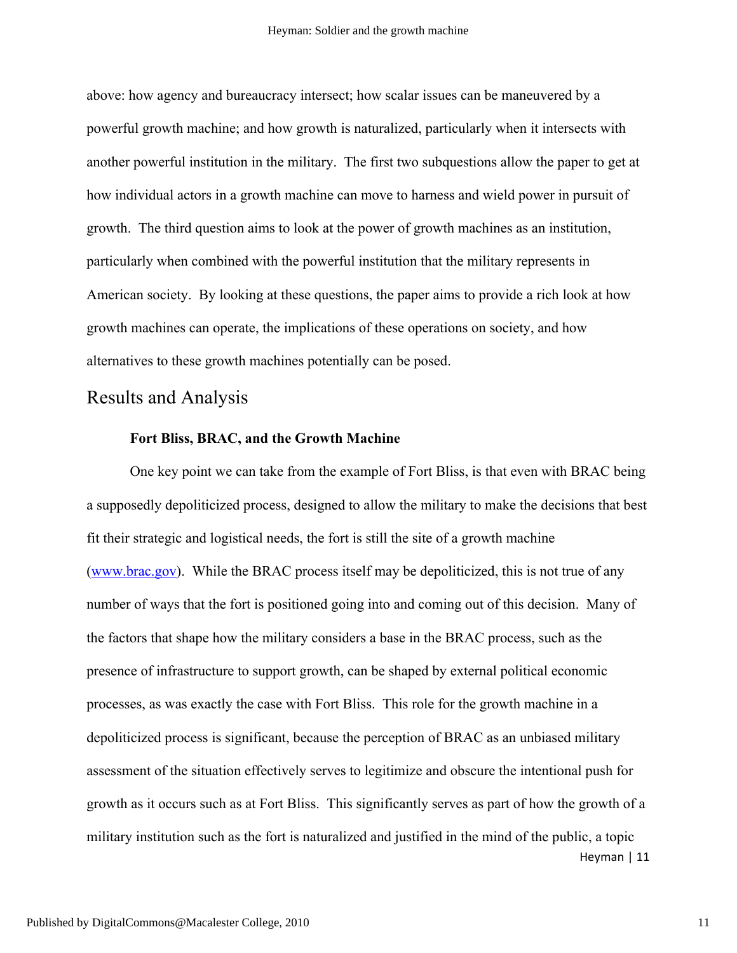above: how agency and bureaucracy intersect; how scalar issues can be maneuvered by a powerful growth machine; and how growth is naturalized, particularly when it intersects with another powerful institution in the military. The first two subquestions allow the paper to get at how individual actors in a growth machine can move to harness and wield power in pursuit of growth. The third question aims to look at the power of growth machines as an institution, particularly when combined with the powerful institution that the military represents in American society. By looking at these questions, the paper aims to provide a rich look at how growth machines can operate, the implications of these operations on society, and how alternatives to these growth machines potentially can be posed.

## Results and Analysis

#### **Fort Bliss, BRAC, and the Growth Machine**

Heyman | 11 One key point we can take from the example of Fort Bliss, is that even with BRAC being a supposedly depoliticized process, designed to allow the military to make the decisions that best fit their strategic and logistical needs, the fort is still the site of a growth machine (www.brac.gov). While the BRAC process itself may be depoliticized, this is not true of any number of ways that the fort is positioned going into and coming out of this decision. Many of the factors that shape how the military considers a base in the BRAC process, such as the presence of infrastructure to support growth, can be shaped by external political economic processes, as was exactly the case with Fort Bliss. This role for the growth machine in a depoliticized process is significant, because the perception of BRAC as an unbiased military assessment of the situation effectively serves to legitimize and obscure the intentional push for growth as it occurs such as at Fort Bliss. This significantly serves as part of how the growth of a military institution such as the fort is naturalized and justified in the mind of the public, a topic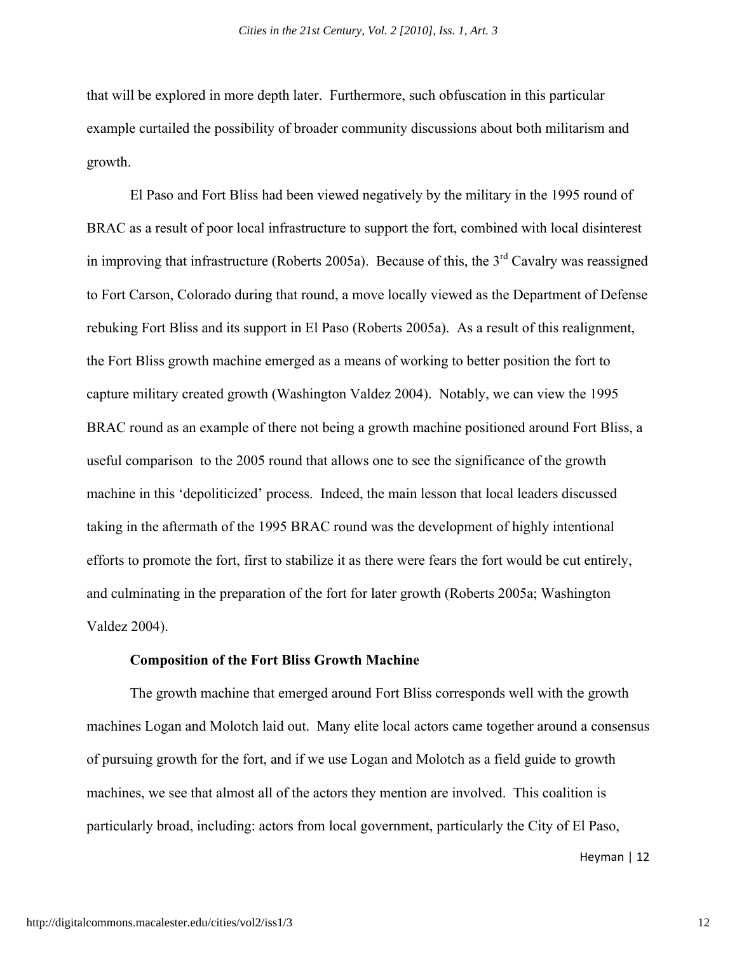that will be explored in more depth later. Furthermore, such obfuscation in this particular example curtailed the possibility of broader community discussions about both militarism and growth.

El Paso and Fort Bliss had been viewed negatively by the military in the 1995 round of BRAC as a result of poor local infrastructure to support the fort, combined with local disinterest in improving that infrastructure (Roberts 2005a). Because of this, the  $3<sup>rd</sup>$  Cavalry was reassigned to Fort Carson, Colorado during that round, a move locally viewed as the Department of Defense rebuking Fort Bliss and its support in El Paso (Roberts 2005a). As a result of this realignment, the Fort Bliss growth machine emerged as a means of working to better position the fort to capture military created growth (Washington Valdez 2004). Notably, we can view the 1995 BRAC round as an example of there not being a growth machine positioned around Fort Bliss, a useful comparison to the 2005 round that allows one to see the significance of the growth machine in this 'depoliticized' process. Indeed, the main lesson that local leaders discussed taking in the aftermath of the 1995 BRAC round was the development of highly intentional efforts to promote the fort, first to stabilize it as there were fears the fort would be cut entirely, and culminating in the preparation of the fort for later growth (Roberts 2005a; Washington Valdez 2004).

#### **Composition of the Fort Bliss Growth Machine**

The growth machine that emerged around Fort Bliss corresponds well with the growth machines Logan and Molotch laid out. Many elite local actors came together around a consensus of pursuing growth for the fort, and if we use Logan and Molotch as a field guide to growth machines, we see that almost all of the actors they mention are involved. This coalition is particularly broad, including: actors from local government, particularly the City of El Paso,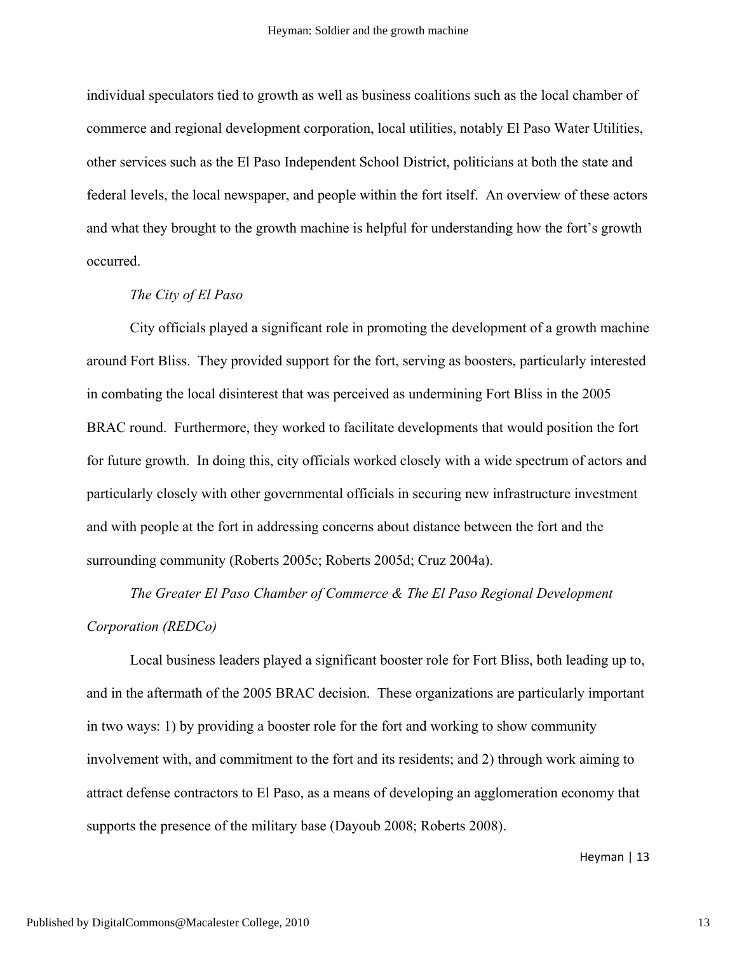individual speculators tied to growth as well as business coalitions such as the local chamber of commerce and regional development corporation, local utilities, notably El Paso Water Utilities, other services such as the El Paso Independent School District, politicians at both the state and federal levels, the local newspaper, and people within the fort itself. An overview of these actors and what they brought to the growth machine is helpful for understanding how the fort's growth occurred.

#### *The City of El Paso*

City officials played a significant role in promoting the development of a growth machine around Fort Bliss. They provided support for the fort, serving as boosters, particularly interested in combating the local disinterest that was perceived as undermining Fort Bliss in the 2005 BRAC round. Furthermore, they worked to facilitate developments that would position the fort for future growth. In doing this, city officials worked closely with a wide spectrum of actors and particularly closely with other governmental officials in securing new infrastructure investment and with people at the fort in addressing concerns about distance between the fort and the surrounding community (Roberts 2005c; Roberts 2005d; Cruz 2004a).

*The Greater El Paso Chamber of Commerce & The El Paso Regional Development Corporation (REDCo)*

Local business leaders played a significant booster role for Fort Bliss, both leading up to, and in the aftermath of the 2005 BRAC decision. These organizations are particularly important in two ways: 1) by providing a booster role for the fort and working to show community involvement with, and commitment to the fort and its residents; and 2) through work aiming to attract defense contractors to El Paso, as a means of developing an agglomeration economy that supports the presence of the military base (Dayoub 2008; Roberts 2008).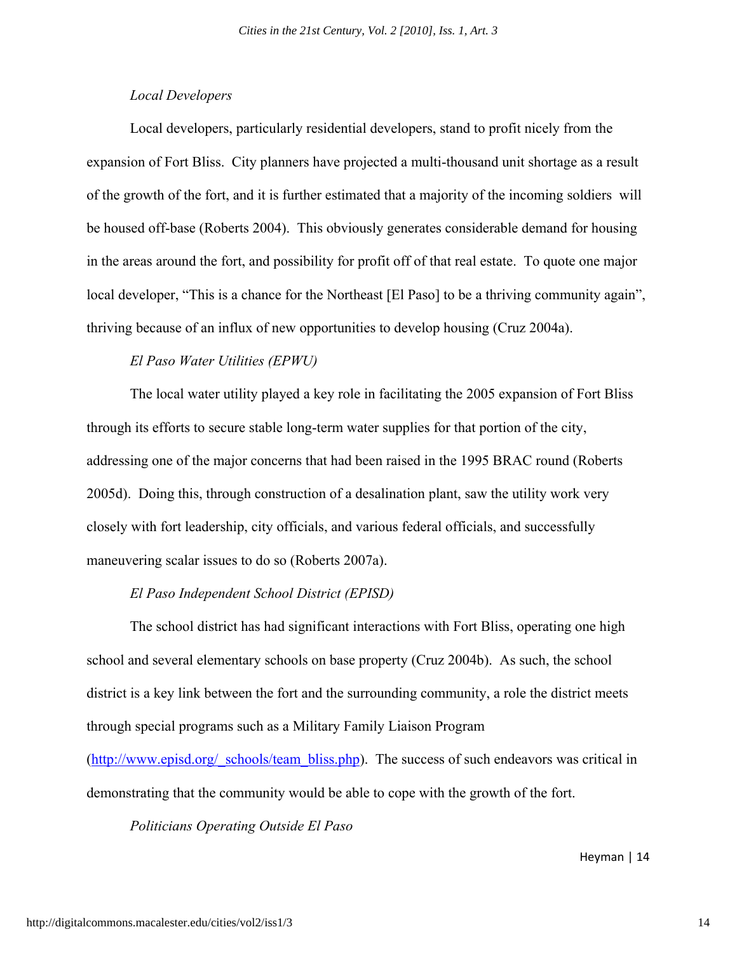#### *Local Developers*

Local developers, particularly residential developers, stand to profit nicely from the expansion of Fort Bliss. City planners have projected a multi-thousand unit shortage as a result of the growth of the fort, and it is further estimated that a majority of the incoming soldiers will be housed off-base (Roberts 2004). This obviously generates considerable demand for housing in the areas around the fort, and possibility for profit off of that real estate. To quote one major local developer, "This is a chance for the Northeast [El Paso] to be a thriving community again", thriving because of an influx of new opportunities to develop housing (Cruz 2004a).

#### *El Paso Water Utilities (EPWU)*

The local water utility played a key role in facilitating the 2005 expansion of Fort Bliss through its efforts to secure stable long-term water supplies for that portion of the city, addressing one of the major concerns that had been raised in the 1995 BRAC round (Roberts 2005d). Doing this, through construction of a desalination plant, saw the utility work very closely with fort leadership, city officials, and various federal officials, and successfully maneuvering scalar issues to do so (Roberts 2007a).

#### *El Paso Independent School District (EPISD)*

The school district has had significant interactions with Fort Bliss, operating one high school and several elementary schools on base property (Cruz 2004b). As such, the school district is a key link between the fort and the surrounding community, a role the district meets through special programs such as a Military Family Liaison Program

(http://www.episd.org/ schools/team bliss.php). The success of such endeavors was critical in demonstrating that the community would be able to cope with the growth of the fort.

*Politicians Operating Outside El Paso*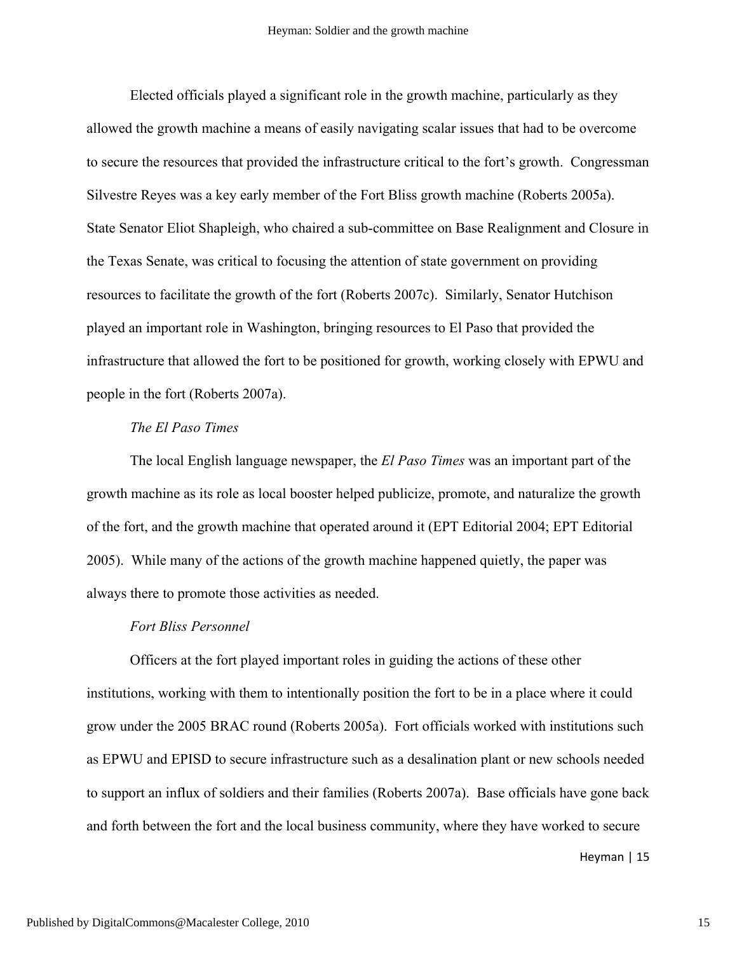Elected officials played a significant role in the growth machine, particularly as they allowed the growth machine a means of easily navigating scalar issues that had to be overcome to secure the resources that provided the infrastructure critical to the fort's growth. Congressman Silvestre Reyes was a key early member of the Fort Bliss growth machine (Roberts 2005a). State Senator Eliot Shapleigh, who chaired a sub-committee on Base Realignment and Closure in the Texas Senate, was critical to focusing the attention of state government on providing resources to facilitate the growth of the fort (Roberts 2007c). Similarly, Senator Hutchison played an important role in Washington, bringing resources to El Paso that provided the infrastructure that allowed the fort to be positioned for growth, working closely with EPWU and people in the fort (Roberts 2007a).

#### *The El Paso Times*

The local English language newspaper, the *El Paso Times* was an important part of the growth machine as its role as local booster helped publicize, promote, and naturalize the growth of the fort, and the growth machine that operated around it (EPT Editorial 2004; EPT Editorial 2005). While many of the actions of the growth machine happened quietly, the paper was always there to promote those activities as needed.

#### *Fort Bliss Personnel*

Officers at the fort played important roles in guiding the actions of these other institutions, working with them to intentionally position the fort to be in a place where it could grow under the 2005 BRAC round (Roberts 2005a). Fort officials worked with institutions such as EPWU and EPISD to secure infrastructure such as a desalination plant or new schools needed to support an influx of soldiers and their families (Roberts 2007a). Base officials have gone back and forth between the fort and the local business community, where they have worked to secure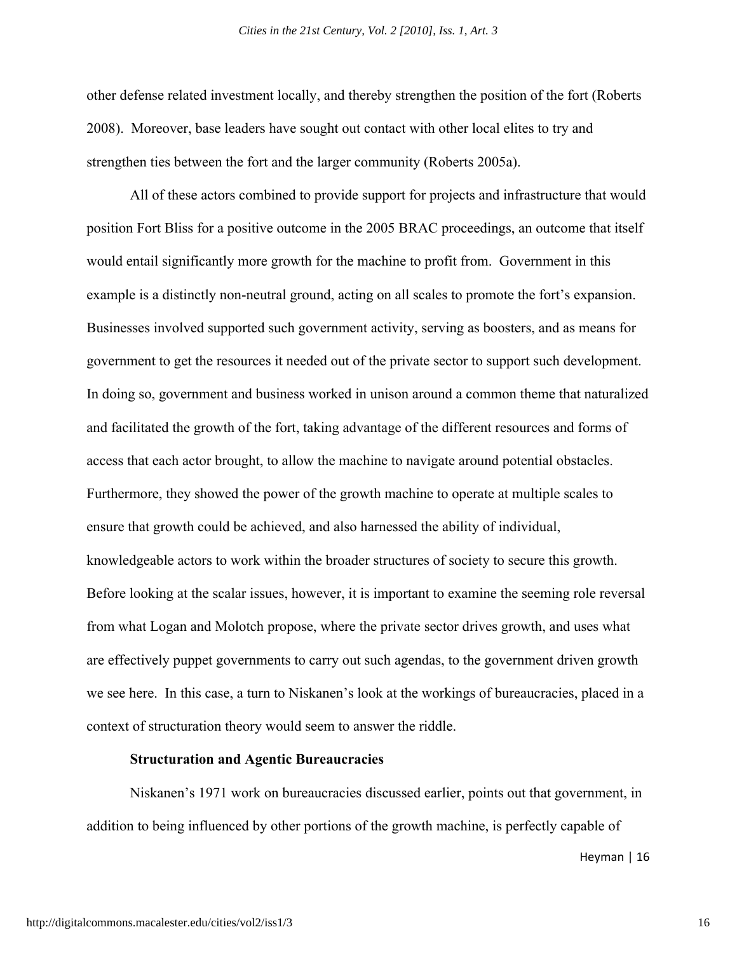other defense related investment locally, and thereby strengthen the position of the fort (Roberts 2008). Moreover, base leaders have sought out contact with other local elites to try and strengthen ties between the fort and the larger community (Roberts 2005a).

All of these actors combined to provide support for projects and infrastructure that would position Fort Bliss for a positive outcome in the 2005 BRAC proceedings, an outcome that itself would entail significantly more growth for the machine to profit from. Government in this example is a distinctly non-neutral ground, acting on all scales to promote the fort's expansion. Businesses involved supported such government activity, serving as boosters, and as means for government to get the resources it needed out of the private sector to support such development. In doing so, government and business worked in unison around a common theme that naturalized and facilitated the growth of the fort, taking advantage of the different resources and forms of access that each actor brought, to allow the machine to navigate around potential obstacles. Furthermore, they showed the power of the growth machine to operate at multiple scales to ensure that growth could be achieved, and also harnessed the ability of individual, knowledgeable actors to work within the broader structures of society to secure this growth. Before looking at the scalar issues, however, it is important to examine the seeming role reversal from what Logan and Molotch propose, where the private sector drives growth, and uses what are effectively puppet governments to carry out such agendas, to the government driven growth we see here. In this case, a turn to Niskanen's look at the workings of bureaucracies, placed in a context of structuration theory would seem to answer the riddle.

#### **Structuration and Agentic Bureaucracies**

Niskanen's 1971 work on bureaucracies discussed earlier, points out that government, in addition to being influenced by other portions of the growth machine, is perfectly capable of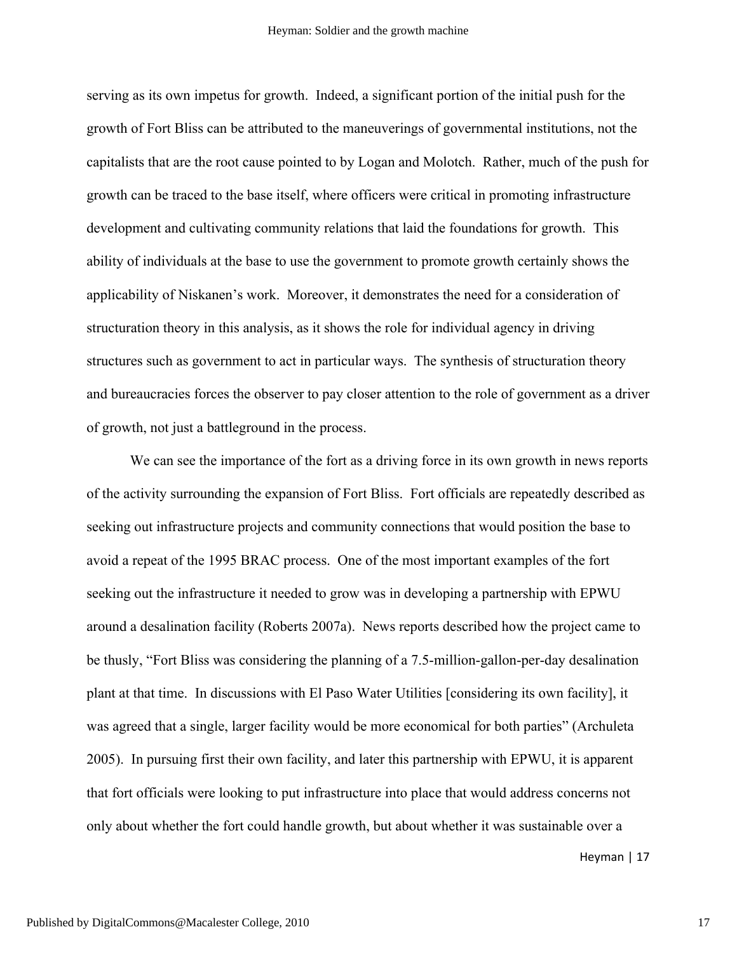serving as its own impetus for growth. Indeed, a significant portion of the initial push for the growth of Fort Bliss can be attributed to the maneuverings of governmental institutions, not the capitalists that are the root cause pointed to by Logan and Molotch. Rather, much of the push for growth can be traced to the base itself, where officers were critical in promoting infrastructure development and cultivating community relations that laid the foundations for growth. This ability of individuals at the base to use the government to promote growth certainly shows the applicability of Niskanen's work. Moreover, it demonstrates the need for a consideration of structuration theory in this analysis, as it shows the role for individual agency in driving structures such as government to act in particular ways. The synthesis of structuration theory and bureaucracies forces the observer to pay closer attention to the role of government as a driver of growth, not just a battleground in the process.

We can see the importance of the fort as a driving force in its own growth in news reports of the activity surrounding the expansion of Fort Bliss. Fort officials are repeatedly described as seeking out infrastructure projects and community connections that would position the base to avoid a repeat of the 1995 BRAC process. One of the most important examples of the fort seeking out the infrastructure it needed to grow was in developing a partnership with EPWU around a desalination facility (Roberts 2007a). News reports described how the project came to be thusly, "Fort Bliss was considering the planning of a 7.5-million-gallon-per-day desalination plant at that time. In discussions with El Paso Water Utilities [considering its own facility], it was agreed that a single, larger facility would be more economical for both parties" (Archuleta 2005). In pursuing first their own facility, and later this partnership with EPWU, it is apparent that fort officials were looking to put infrastructure into place that would address concerns not only about whether the fort could handle growth, but about whether it was sustainable over a

Heyman  $|17$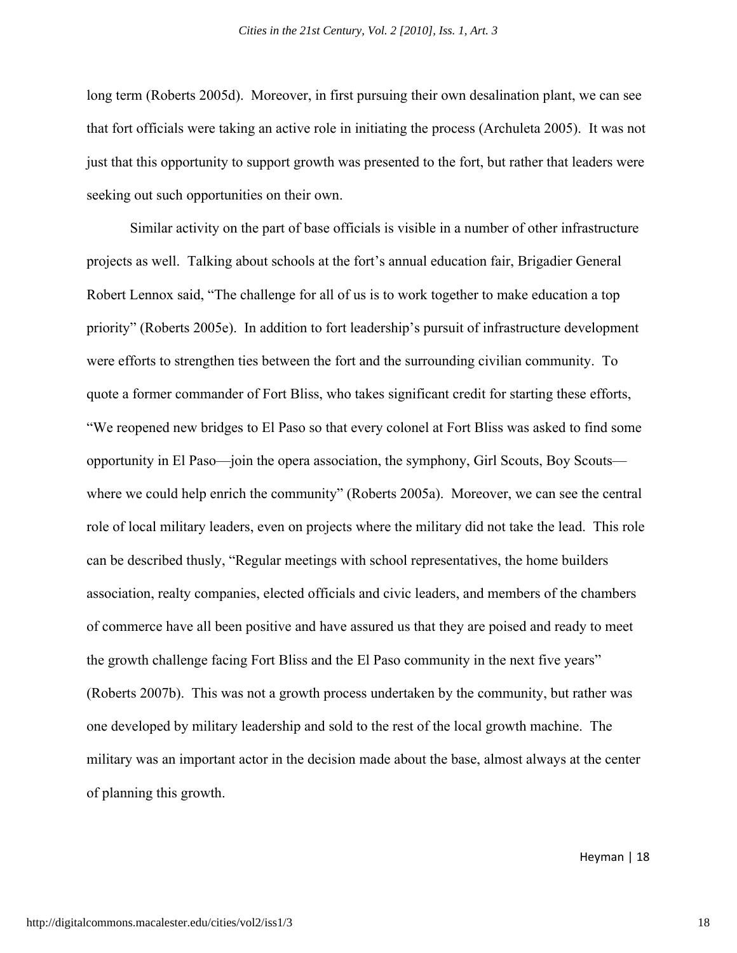long term (Roberts 2005d). Moreover, in first pursuing their own desalination plant, we can see that fort officials were taking an active role in initiating the process (Archuleta 2005). It was not just that this opportunity to support growth was presented to the fort, but rather that leaders were seeking out such opportunities on their own.

Similar activity on the part of base officials is visible in a number of other infrastructure projects as well. Talking about schools at the fort's annual education fair, Brigadier General Robert Lennox said, "The challenge for all of us is to work together to make education a top priority" (Roberts 2005e). In addition to fort leadership's pursuit of infrastructure development were efforts to strengthen ties between the fort and the surrounding civilian community. To quote a former commander of Fort Bliss, who takes significant credit for starting these efforts, "We reopened new bridges to El Paso so that every colonel at Fort Bliss was asked to find some opportunity in El Paso—join the opera association, the symphony, Girl Scouts, Boy Scouts where we could help enrich the community" (Roberts 2005a). Moreover, we can see the central role of local military leaders, even on projects where the military did not take the lead. This role can be described thusly, "Regular meetings with school representatives, the home builders association, realty companies, elected officials and civic leaders, and members of the chambers of commerce have all been positive and have assured us that they are poised and ready to meet the growth challenge facing Fort Bliss and the El Paso community in the next five years" (Roberts 2007b). This was not a growth process undertaken by the community, but rather was one developed by military leadership and sold to the rest of the local growth machine. The military was an important actor in the decision made about the base, almost always at the center of planning this growth.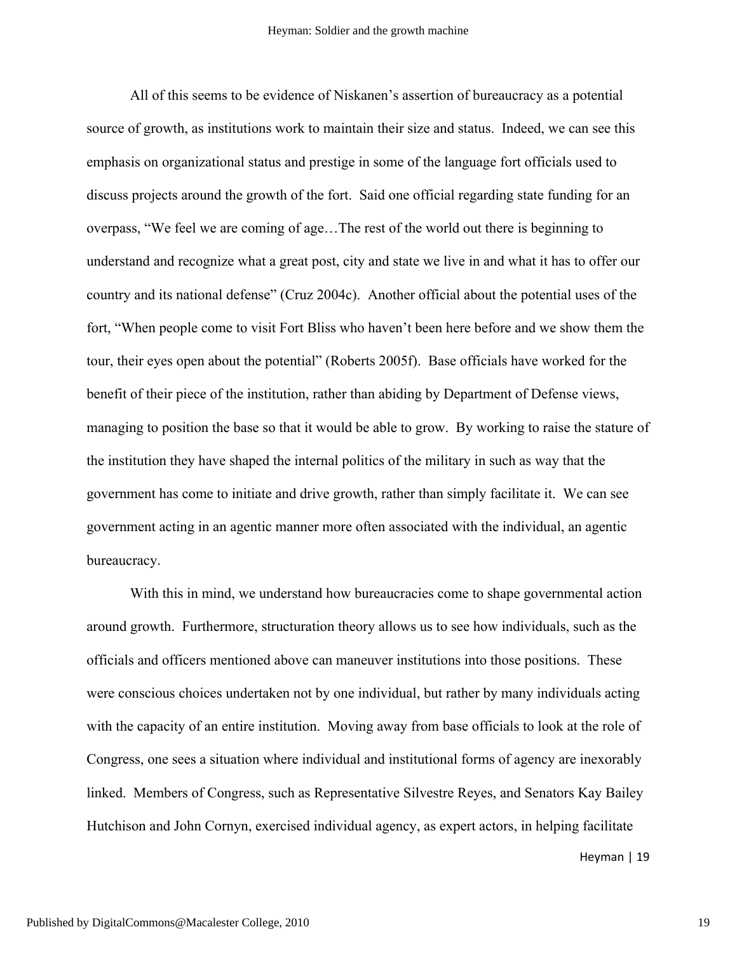All of this seems to be evidence of Niskanen's assertion of bureaucracy as a potential source of growth, as institutions work to maintain their size and status. Indeed, we can see this emphasis on organizational status and prestige in some of the language fort officials used to discuss projects around the growth of the fort. Said one official regarding state funding for an overpass, "We feel we are coming of age…The rest of the world out there is beginning to understand and recognize what a great post, city and state we live in and what it has to offer our country and its national defense" (Cruz 2004c). Another official about the potential uses of the fort, "When people come to visit Fort Bliss who haven't been here before and we show them the tour, their eyes open about the potential" (Roberts 2005f). Base officials have worked for the benefit of their piece of the institution, rather than abiding by Department of Defense views, managing to position the base so that it would be able to grow. By working to raise the stature of the institution they have shaped the internal politics of the military in such as way that the government has come to initiate and drive growth, rather than simply facilitate it. We can see government acting in an agentic manner more often associated with the individual, an agentic bureaucracy.

With this in mind, we understand how bureaucracies come to shape governmental action around growth. Furthermore, structuration theory allows us to see how individuals, such as the officials and officers mentioned above can maneuver institutions into those positions. These were conscious choices undertaken not by one individual, but rather by many individuals acting with the capacity of an entire institution. Moving away from base officials to look at the role of Congress, one sees a situation where individual and institutional forms of agency are inexorably linked. Members of Congress, such as Representative Silvestre Reyes, and Senators Kay Bailey Hutchison and John Cornyn, exercised individual agency, as expert actors, in helping facilitate

Heyman | 19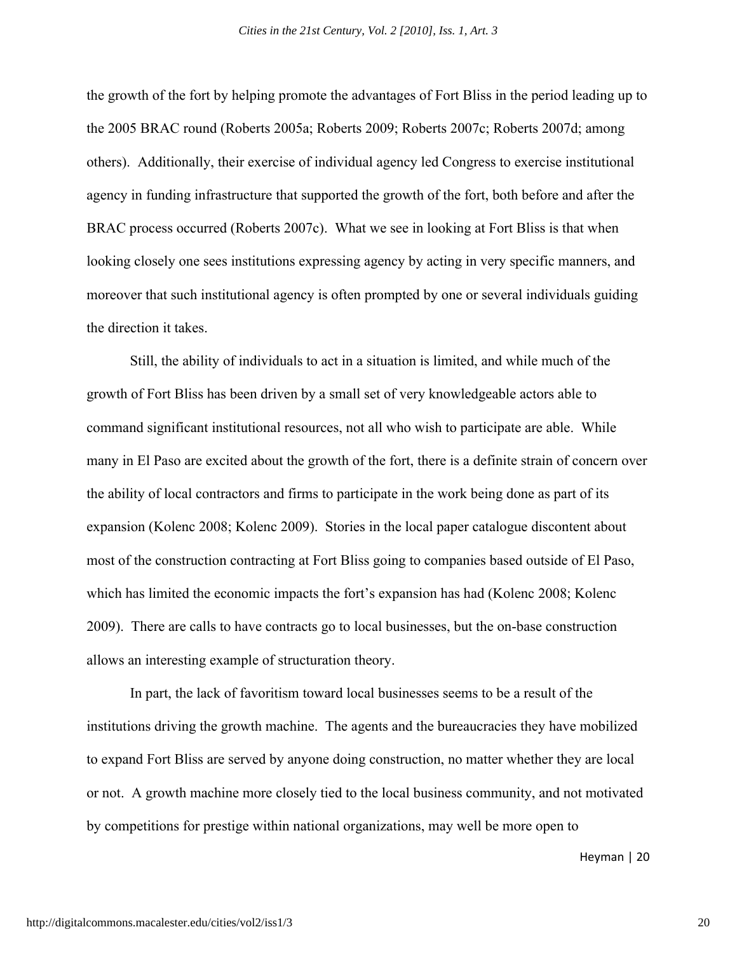the growth of the fort by helping promote the advantages of Fort Bliss in the period leading up to the 2005 BRAC round (Roberts 2005a; Roberts 2009; Roberts 2007c; Roberts 2007d; among others). Additionally, their exercise of individual agency led Congress to exercise institutional agency in funding infrastructure that supported the growth of the fort, both before and after the BRAC process occurred (Roberts 2007c). What we see in looking at Fort Bliss is that when looking closely one sees institutions expressing agency by acting in very specific manners, and moreover that such institutional agency is often prompted by one or several individuals guiding the direction it takes.

Still, the ability of individuals to act in a situation is limited, and while much of the growth of Fort Bliss has been driven by a small set of very knowledgeable actors able to command significant institutional resources, not all who wish to participate are able. While many in El Paso are excited about the growth of the fort, there is a definite strain of concern over the ability of local contractors and firms to participate in the work being done as part of its expansion (Kolenc 2008; Kolenc 2009). Stories in the local paper catalogue discontent about most of the construction contracting at Fort Bliss going to companies based outside of El Paso, which has limited the economic impacts the fort's expansion has had (Kolenc 2008; Kolenc 2009). There are calls to have contracts go to local businesses, but the on-base construction allows an interesting example of structuration theory.

In part, the lack of favoritism toward local businesses seems to be a result of the institutions driving the growth machine. The agents and the bureaucracies they have mobilized to expand Fort Bliss are served by anyone doing construction, no matter whether they are local or not. A growth machine more closely tied to the local business community, and not motivated by competitions for prestige within national organizations, may well be more open to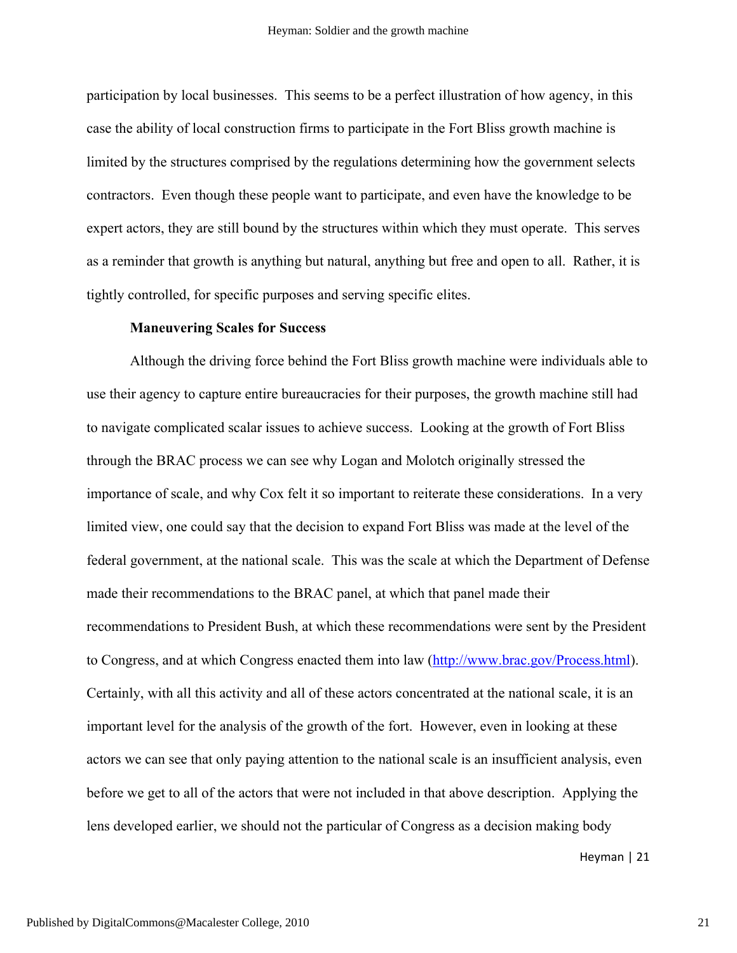participation by local businesses. This seems to be a perfect illustration of how agency, in this case the ability of local construction firms to participate in the Fort Bliss growth machine is limited by the structures comprised by the regulations determining how the government selects contractors. Even though these people want to participate, and even have the knowledge to be expert actors, they are still bound by the structures within which they must operate. This serves as a reminder that growth is anything but natural, anything but free and open to all. Rather, it is tightly controlled, for specific purposes and serving specific elites.

#### **Maneuvering Scales for Success**

Although the driving force behind the Fort Bliss growth machine were individuals able to use their agency to capture entire bureaucracies for their purposes, the growth machine still had to navigate complicated scalar issues to achieve success. Looking at the growth of Fort Bliss through the BRAC process we can see why Logan and Molotch originally stressed the importance of scale, and why Cox felt it so important to reiterate these considerations. In a very limited view, one could say that the decision to expand Fort Bliss was made at the level of the federal government, at the national scale. This was the scale at which the Department of Defense made their recommendations to the BRAC panel, at which that panel made their recommendations to President Bush, at which these recommendations were sent by the President to Congress, and at which Congress enacted them into law (http://www.brac.gov/Process.html). Certainly, with all this activity and all of these actors concentrated at the national scale, it is an important level for the analysis of the growth of the fort. However, even in looking at these actors we can see that only paying attention to the national scale is an insufficient analysis, even before we get to all of the actors that were not included in that above description. Applying the lens developed earlier, we should not the particular of Congress as a decision making body

Heyman | 21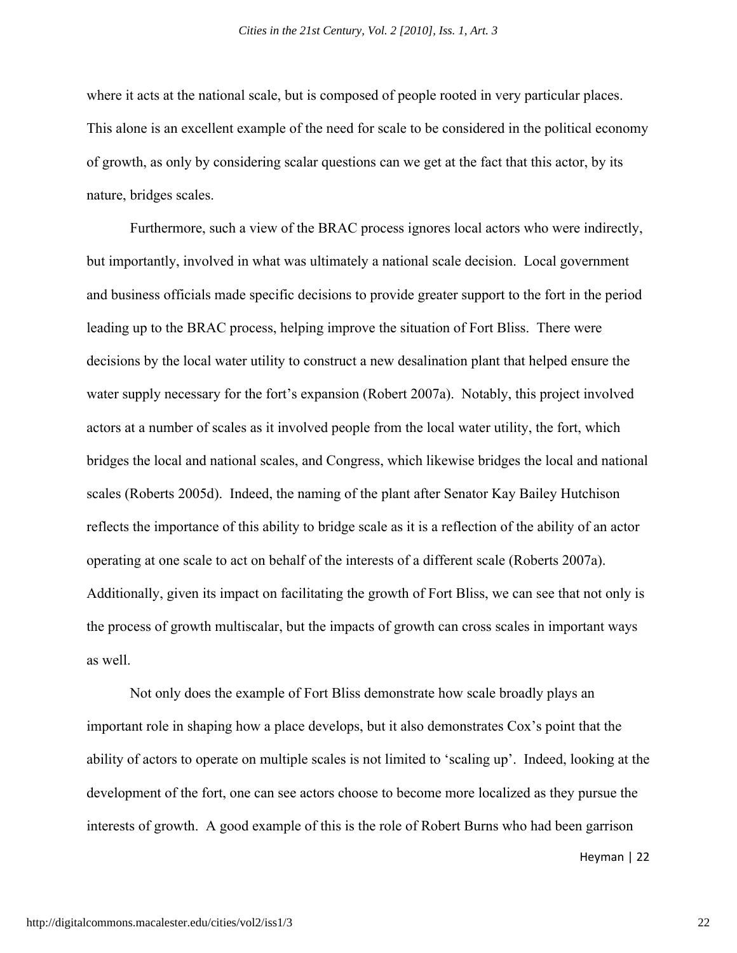where it acts at the national scale, but is composed of people rooted in very particular places. This alone is an excellent example of the need for scale to be considered in the political economy of growth, as only by considering scalar questions can we get at the fact that this actor, by its nature, bridges scales.

Furthermore, such a view of the BRAC process ignores local actors who were indirectly, but importantly, involved in what was ultimately a national scale decision. Local government and business officials made specific decisions to provide greater support to the fort in the period leading up to the BRAC process, helping improve the situation of Fort Bliss. There were decisions by the local water utility to construct a new desalination plant that helped ensure the water supply necessary for the fort's expansion (Robert 2007a). Notably, this project involved actors at a number of scales as it involved people from the local water utility, the fort, which bridges the local and national scales, and Congress, which likewise bridges the local and national scales (Roberts 2005d). Indeed, the naming of the plant after Senator Kay Bailey Hutchison reflects the importance of this ability to bridge scale as it is a reflection of the ability of an actor operating at one scale to act on behalf of the interests of a different scale (Roberts 2007a). Additionally, given its impact on facilitating the growth of Fort Bliss, we can see that not only is the process of growth multiscalar, but the impacts of growth can cross scales in important ways as well.

Not only does the example of Fort Bliss demonstrate how scale broadly plays an important role in shaping how a place develops, but it also demonstrates Cox's point that the ability of actors to operate on multiple scales is not limited to 'scaling up'. Indeed, looking at the development of the fort, one can see actors choose to become more localized as they pursue the interests of growth. A good example of this is the role of Robert Burns who had been garrison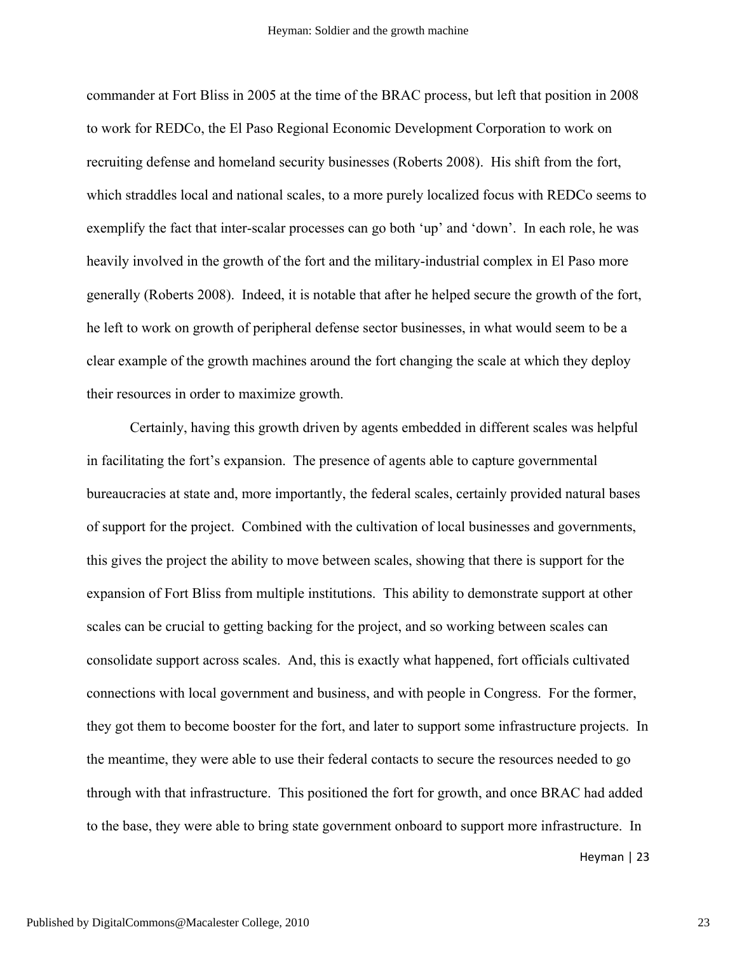commander at Fort Bliss in 2005 at the time of the BRAC process, but left that position in 2008 to work for REDCo, the El Paso Regional Economic Development Corporation to work on recruiting defense and homeland security businesses (Roberts 2008). His shift from the fort, which straddles local and national scales, to a more purely localized focus with REDCo seems to exemplify the fact that inter-scalar processes can go both 'up' and 'down'. In each role, he was heavily involved in the growth of the fort and the military-industrial complex in El Paso more generally (Roberts 2008). Indeed, it is notable that after he helped secure the growth of the fort, he left to work on growth of peripheral defense sector businesses, in what would seem to be a clear example of the growth machines around the fort changing the scale at which they deploy their resources in order to maximize growth.

Certainly, having this growth driven by agents embedded in different scales was helpful in facilitating the fort's expansion. The presence of agents able to capture governmental bureaucracies at state and, more importantly, the federal scales, certainly provided natural bases of support for the project. Combined with the cultivation of local businesses and governments, this gives the project the ability to move between scales, showing that there is support for the expansion of Fort Bliss from multiple institutions. This ability to demonstrate support at other scales can be crucial to getting backing for the project, and so working between scales can consolidate support across scales. And, this is exactly what happened, fort officials cultivated connections with local government and business, and with people in Congress. For the former, they got them to become booster for the fort, and later to support some infrastructure projects. In the meantime, they were able to use their federal contacts to secure the resources needed to go through with that infrastructure. This positioned the fort for growth, and once BRAC had added to the base, they were able to bring state government onboard to support more infrastructure. In

Heyman | 23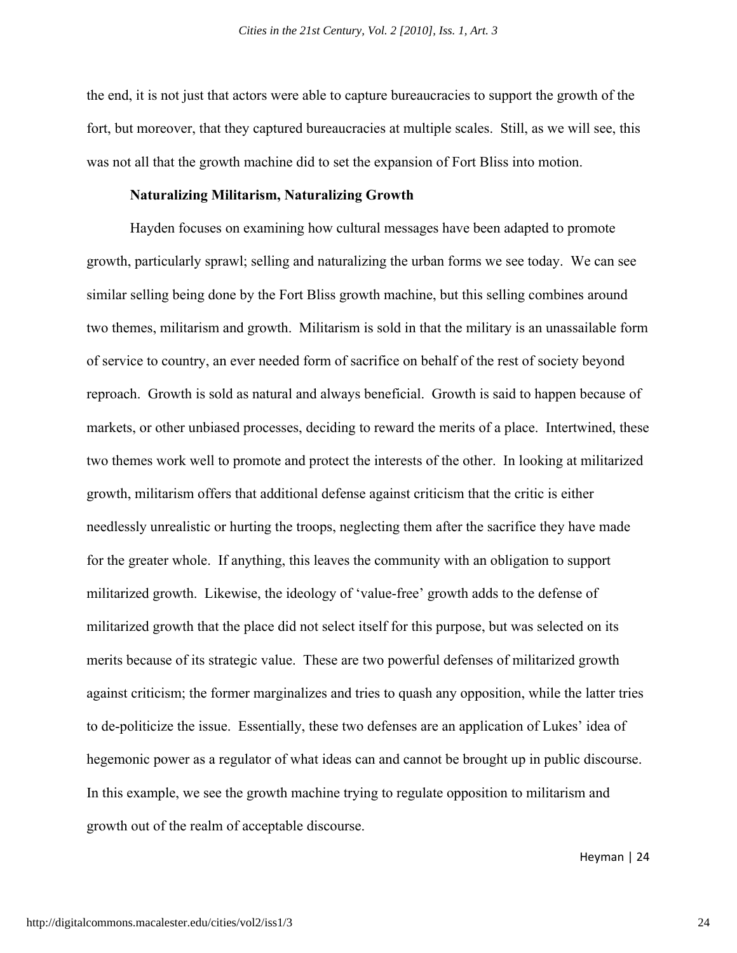the end, it is not just that actors were able to capture bureaucracies to support the growth of the fort, but moreover, that they captured bureaucracies at multiple scales. Still, as we will see, this was not all that the growth machine did to set the expansion of Fort Bliss into motion.

#### **Naturalizing Militarism, Naturalizing Growth**

Hayden focuses on examining how cultural messages have been adapted to promote growth, particularly sprawl; selling and naturalizing the urban forms we see today. We can see similar selling being done by the Fort Bliss growth machine, but this selling combines around two themes, militarism and growth. Militarism is sold in that the military is an unassailable form of service to country, an ever needed form of sacrifice on behalf of the rest of society beyond reproach. Growth is sold as natural and always beneficial. Growth is said to happen because of markets, or other unbiased processes, deciding to reward the merits of a place. Intertwined, these two themes work well to promote and protect the interests of the other. In looking at militarized growth, militarism offers that additional defense against criticism that the critic is either needlessly unrealistic or hurting the troops, neglecting them after the sacrifice they have made for the greater whole. If anything, this leaves the community with an obligation to support militarized growth. Likewise, the ideology of 'value-free' growth adds to the defense of militarized growth that the place did not select itself for this purpose, but was selected on its merits because of its strategic value. These are two powerful defenses of militarized growth against criticism; the former marginalizes and tries to quash any opposition, while the latter tries to de-politicize the issue. Essentially, these two defenses are an application of Lukes' idea of hegemonic power as a regulator of what ideas can and cannot be brought up in public discourse. In this example, we see the growth machine trying to regulate opposition to militarism and growth out of the realm of acceptable discourse.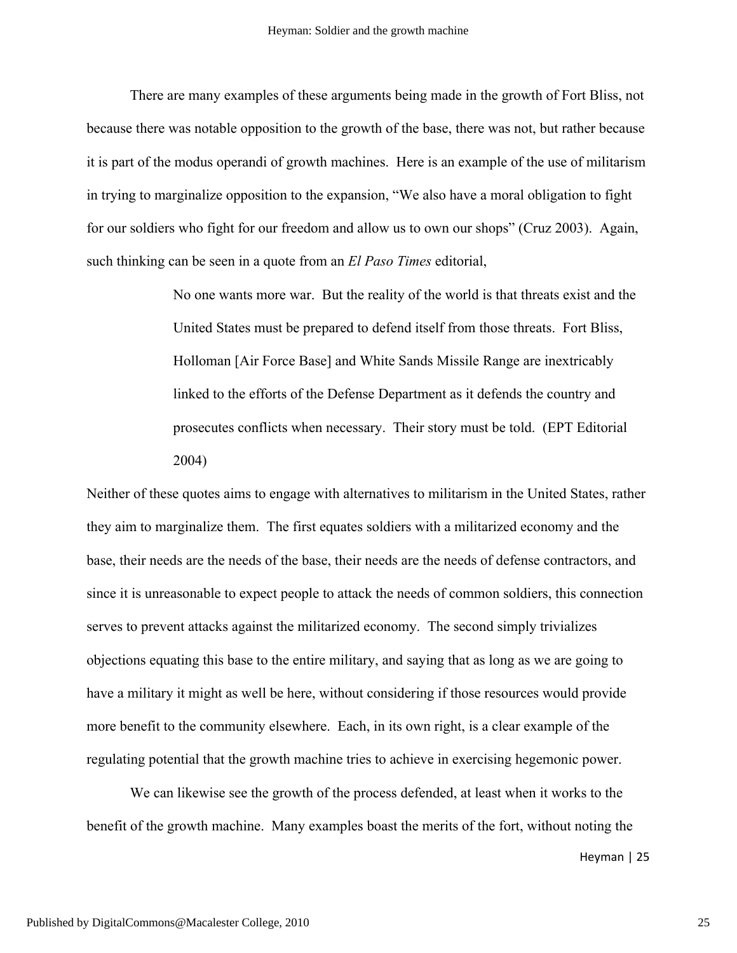There are many examples of these arguments being made in the growth of Fort Bliss, not because there was notable opposition to the growth of the base, there was not, but rather because it is part of the modus operandi of growth machines. Here is an example of the use of militarism in trying to marginalize opposition to the expansion, "We also have a moral obligation to fight for our soldiers who fight for our freedom and allow us to own our shops" (Cruz 2003). Again, such thinking can be seen in a quote from an *El Paso Times* editorial,

> No one wants more war. But the reality of the world is that threats exist and the United States must be prepared to defend itself from those threats. Fort Bliss, Holloman [Air Force Base] and White Sands Missile Range are inextricably linked to the efforts of the Defense Department as it defends the country and prosecutes conflicts when necessary. Their story must be told. (EPT Editorial 2004)

Neither of these quotes aims to engage with alternatives to militarism in the United States, rather they aim to marginalize them. The first equates soldiers with a militarized economy and the base, their needs are the needs of the base, their needs are the needs of defense contractors, and since it is unreasonable to expect people to attack the needs of common soldiers, this connection serves to prevent attacks against the militarized economy. The second simply trivializes objections equating this base to the entire military, and saying that as long as we are going to have a military it might as well be here, without considering if those resources would provide more benefit to the community elsewhere. Each, in its own right, is a clear example of the regulating potential that the growth machine tries to achieve in exercising hegemonic power.

We can likewise see the growth of the process defended, at least when it works to the benefit of the growth machine. Many examples boast the merits of the fort, without noting the

Heyman | 25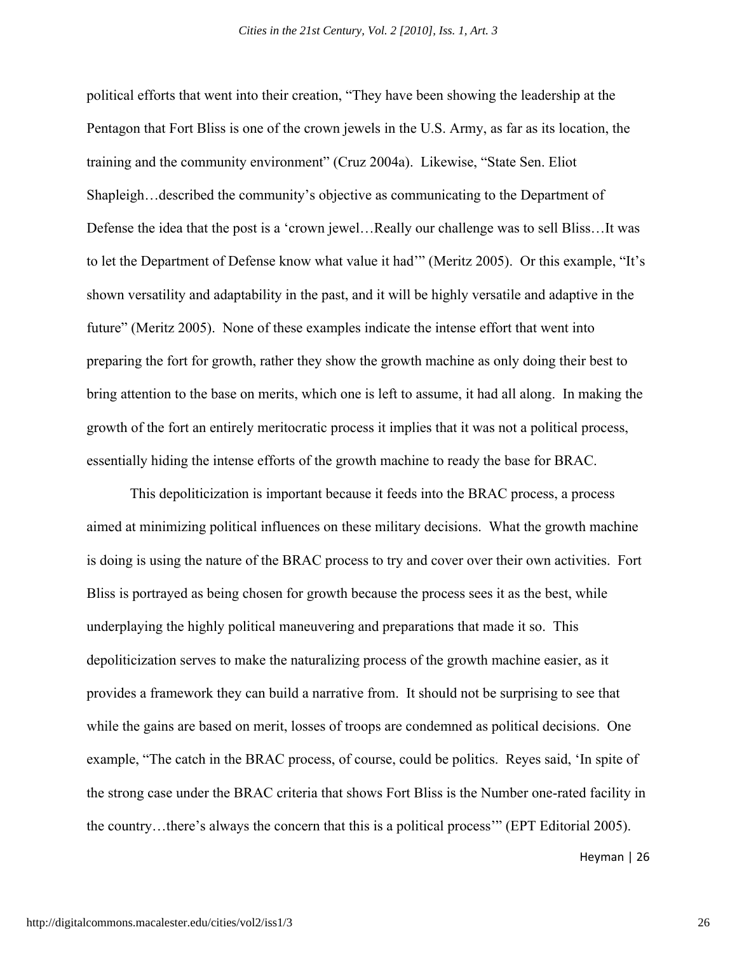political efforts that went into their creation, "They have been showing the leadership at the Pentagon that Fort Bliss is one of the crown jewels in the U.S. Army, as far as its location, the training and the community environment" (Cruz 2004a). Likewise, "State Sen. Eliot Shapleigh…described the community's objective as communicating to the Department of Defense the idea that the post is a 'crown jewel…Really our challenge was to sell Bliss…It was to let the Department of Defense know what value it had'" (Meritz 2005). Or this example, "It's shown versatility and adaptability in the past, and it will be highly versatile and adaptive in the future" (Meritz 2005). None of these examples indicate the intense effort that went into preparing the fort for growth, rather they show the growth machine as only doing their best to bring attention to the base on merits, which one is left to assume, it had all along. In making the growth of the fort an entirely meritocratic process it implies that it was not a political process, essentially hiding the intense efforts of the growth machine to ready the base for BRAC.

This depoliticization is important because it feeds into the BRAC process, a process aimed at minimizing political influences on these military decisions. What the growth machine is doing is using the nature of the BRAC process to try and cover over their own activities. Fort Bliss is portrayed as being chosen for growth because the process sees it as the best, while underplaying the highly political maneuvering and preparations that made it so. This depoliticization serves to make the naturalizing process of the growth machine easier, as it provides a framework they can build a narrative from. It should not be surprising to see that while the gains are based on merit, losses of troops are condemned as political decisions. One example, "The catch in the BRAC process, of course, could be politics. Reyes said, 'In spite of the strong case under the BRAC criteria that shows Fort Bliss is the Number one-rated facility in the country…there's always the concern that this is a political process'" (EPT Editorial 2005).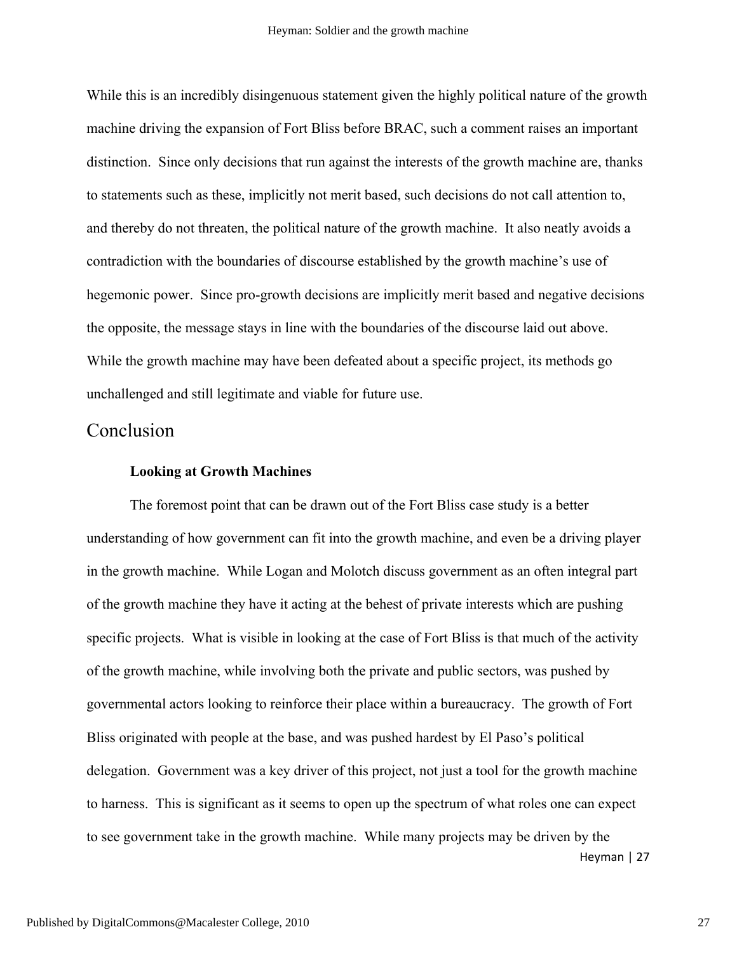While this is an incredibly disingenuous statement given the highly political nature of the growth machine driving the expansion of Fort Bliss before BRAC, such a comment raises an important distinction. Since only decisions that run against the interests of the growth machine are, thanks to statements such as these, implicitly not merit based, such decisions do not call attention to, and thereby do not threaten, the political nature of the growth machine. It also neatly avoids a contradiction with the boundaries of discourse established by the growth machine's use of hegemonic power. Since pro-growth decisions are implicitly merit based and negative decisions the opposite, the message stays in line with the boundaries of the discourse laid out above. While the growth machine may have been defeated about a specific project, its methods go unchallenged and still legitimate and viable for future use.

### Conclusion

#### **Looking at Growth Machines**

The foremost point that can be drawn out of the Fort Bliss case study is a better understanding of how government can fit into the growth machine, and even be a driving player in the growth machine. While Logan and Molotch discuss government as an often integral part of the growth machine they have it acting at the behest of private interests which are pushing specific projects. What is visible in looking at the case of Fort Bliss is that much of the activity of the growth machine, while involving both the private and public sectors, was pushed by governmental actors looking to reinforce their place within a bureaucracy. The growth of Fort Bliss originated with people at the base, and was pushed hardest by El Paso's political delegation. Government was a key driver of this project, not just a tool for the growth machine to harness. This is significant as it seems to open up the spectrum of what roles one can expect to see government take in the growth machine. While many projects may be driven by the

Heyman | 27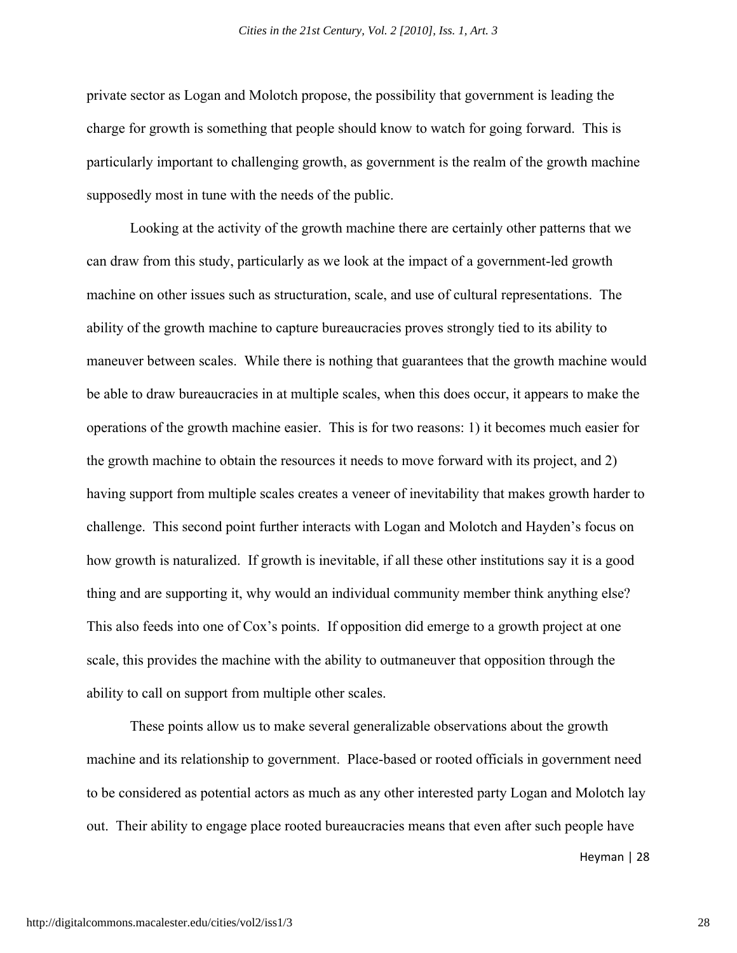private sector as Logan and Molotch propose, the possibility that government is leading the charge for growth is something that people should know to watch for going forward. This is particularly important to challenging growth, as government is the realm of the growth machine supposedly most in tune with the needs of the public.

Looking at the activity of the growth machine there are certainly other patterns that we can draw from this study, particularly as we look at the impact of a government-led growth machine on other issues such as structuration, scale, and use of cultural representations. The ability of the growth machine to capture bureaucracies proves strongly tied to its ability to maneuver between scales. While there is nothing that guarantees that the growth machine would be able to draw bureaucracies in at multiple scales, when this does occur, it appears to make the operations of the growth machine easier. This is for two reasons: 1) it becomes much easier for the growth machine to obtain the resources it needs to move forward with its project, and 2) having support from multiple scales creates a veneer of inevitability that makes growth harder to challenge. This second point further interacts with Logan and Molotch and Hayden's focus on how growth is naturalized. If growth is inevitable, if all these other institutions say it is a good thing and are supporting it, why would an individual community member think anything else? This also feeds into one of Cox's points. If opposition did emerge to a growth project at one scale, this provides the machine with the ability to outmaneuver that opposition through the ability to call on support from multiple other scales.

These points allow us to make several generalizable observations about the growth machine and its relationship to government. Place-based or rooted officials in government need to be considered as potential actors as much as any other interested party Logan and Molotch lay out. Their ability to engage place rooted bureaucracies means that even after such people have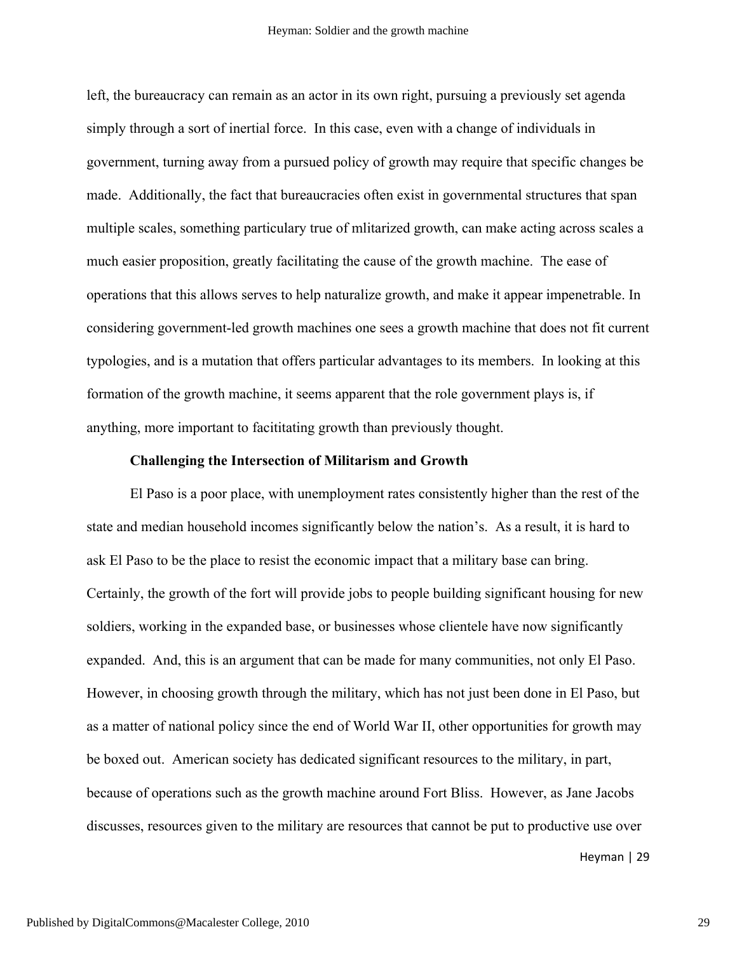left, the bureaucracy can remain as an actor in its own right, pursuing a previously set agenda simply through a sort of inertial force. In this case, even with a change of individuals in government, turning away from a pursued policy of growth may require that specific changes be made. Additionally, the fact that bureaucracies often exist in governmental structures that span multiple scales, something particulary true of mlitarized growth, can make acting across scales a much easier proposition, greatly facilitating the cause of the growth machine. The ease of operations that this allows serves to help naturalize growth, and make it appear impenetrable. In considering government-led growth machines one sees a growth machine that does not fit current typologies, and is a mutation that offers particular advantages to its members. In looking at this formation of the growth machine, it seems apparent that the role government plays is, if anything, more important to facititating growth than previously thought.

#### **Challenging the Intersection of Militarism and Growth**

El Paso is a poor place, with unemployment rates consistently higher than the rest of the state and median household incomes significantly below the nation's. As a result, it is hard to ask El Paso to be the place to resist the economic impact that a military base can bring. Certainly, the growth of the fort will provide jobs to people building significant housing for new soldiers, working in the expanded base, or businesses whose clientele have now significantly expanded. And, this is an argument that can be made for many communities, not only El Paso. However, in choosing growth through the military, which has not just been done in El Paso, but as a matter of national policy since the end of World War II, other opportunities for growth may be boxed out. American society has dedicated significant resources to the military, in part, because of operations such as the growth machine around Fort Bliss. However, as Jane Jacobs discusses, resources given to the military are resources that cannot be put to productive use over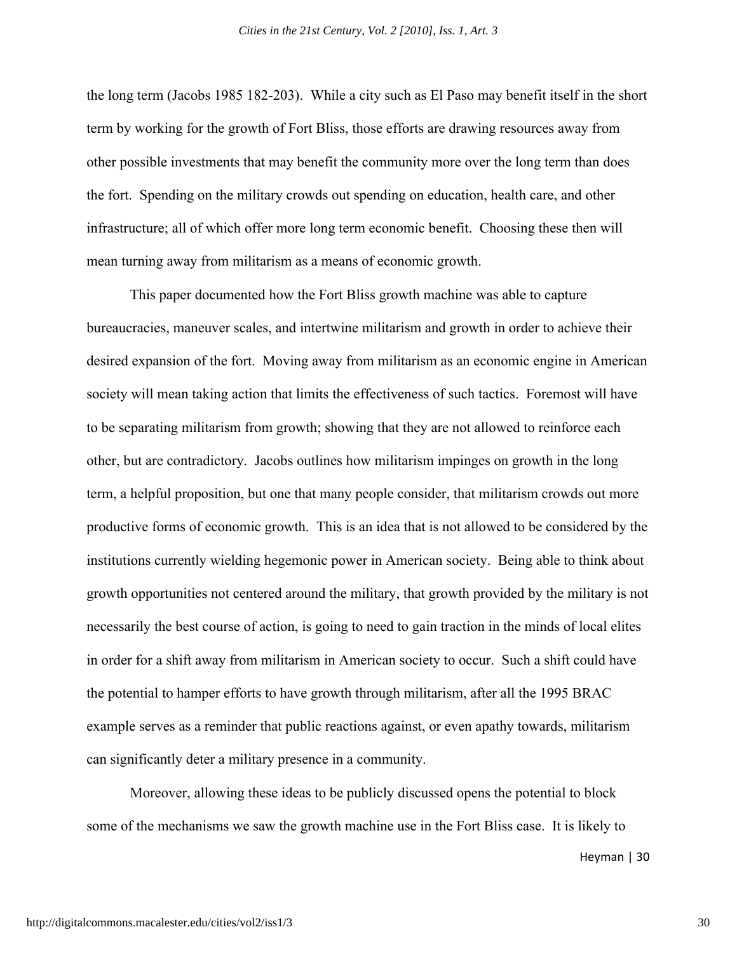the long term (Jacobs 1985 182-203). While a city such as El Paso may benefit itself in the short term by working for the growth of Fort Bliss, those efforts are drawing resources away from other possible investments that may benefit the community more over the long term than does the fort. Spending on the military crowds out spending on education, health care, and other infrastructure; all of which offer more long term economic benefit. Choosing these then will mean turning away from militarism as a means of economic growth.

This paper documented how the Fort Bliss growth machine was able to capture bureaucracies, maneuver scales, and intertwine militarism and growth in order to achieve their desired expansion of the fort. Moving away from militarism as an economic engine in American society will mean taking action that limits the effectiveness of such tactics. Foremost will have to be separating militarism from growth; showing that they are not allowed to reinforce each other, but are contradictory. Jacobs outlines how militarism impinges on growth in the long term, a helpful proposition, but one that many people consider, that militarism crowds out more productive forms of economic growth. This is an idea that is not allowed to be considered by the institutions currently wielding hegemonic power in American society. Being able to think about growth opportunities not centered around the military, that growth provided by the military is not necessarily the best course of action, is going to need to gain traction in the minds of local elites in order for a shift away from militarism in American society to occur. Such a shift could have the potential to hamper efforts to have growth through militarism, after all the 1995 BRAC example serves as a reminder that public reactions against, or even apathy towards, militarism can significantly deter a military presence in a community.

Moreover, allowing these ideas to be publicly discussed opens the potential to block some of the mechanisms we saw the growth machine use in the Fort Bliss case. It is likely to

Heyman | 30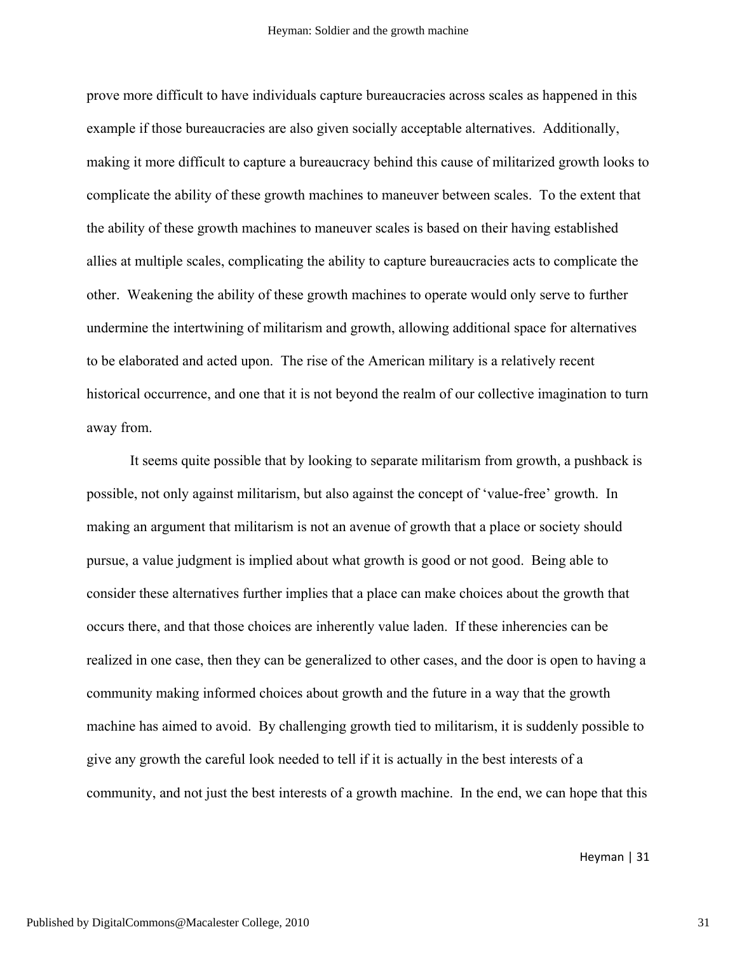prove more difficult to have individuals capture bureaucracies across scales as happened in this example if those bureaucracies are also given socially acceptable alternatives. Additionally, making it more difficult to capture a bureaucracy behind this cause of militarized growth looks to complicate the ability of these growth machines to maneuver between scales. To the extent that the ability of these growth machines to maneuver scales is based on their having established allies at multiple scales, complicating the ability to capture bureaucracies acts to complicate the other. Weakening the ability of these growth machines to operate would only serve to further undermine the intertwining of militarism and growth, allowing additional space for alternatives to be elaborated and acted upon. The rise of the American military is a relatively recent historical occurrence, and one that it is not beyond the realm of our collective imagination to turn away from.

It seems quite possible that by looking to separate militarism from growth, a pushback is possible, not only against militarism, but also against the concept of 'value-free' growth. In making an argument that militarism is not an avenue of growth that a place or society should pursue, a value judgment is implied about what growth is good or not good. Being able to consider these alternatives further implies that a place can make choices about the growth that occurs there, and that those choices are inherently value laden. If these inherencies can be realized in one case, then they can be generalized to other cases, and the door is open to having a community making informed choices about growth and the future in a way that the growth machine has aimed to avoid. By challenging growth tied to militarism, it is suddenly possible to give any growth the careful look needed to tell if it is actually in the best interests of a community, and not just the best interests of a growth machine. In the end, we can hope that this

Heyman | 31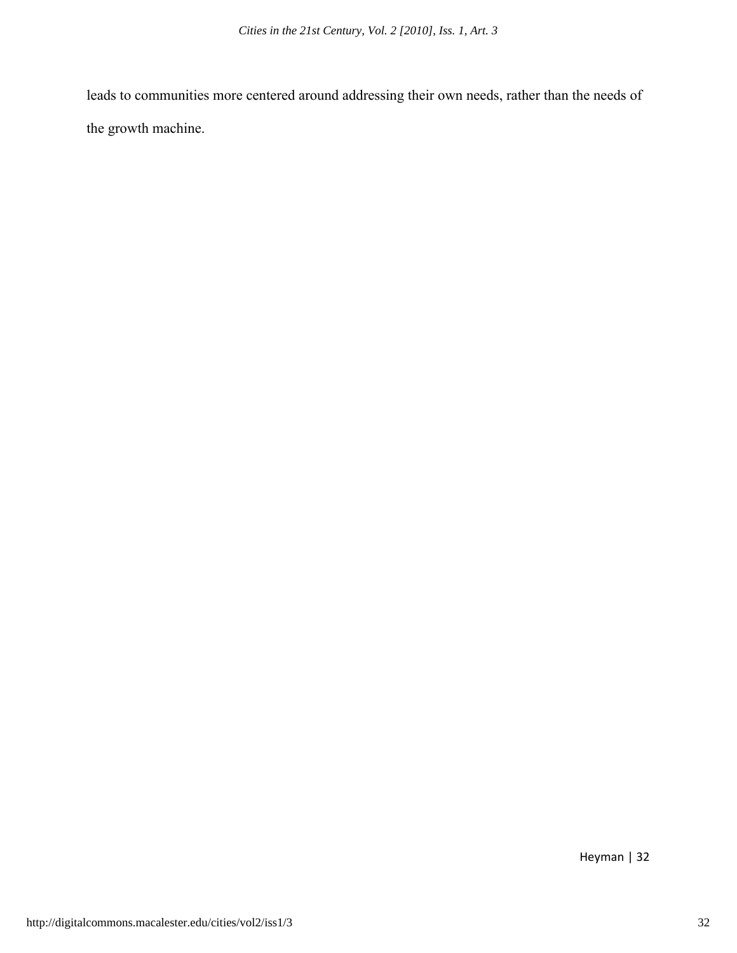leads to communities more centered around addressing their own needs, rather than the needs of the growth machine.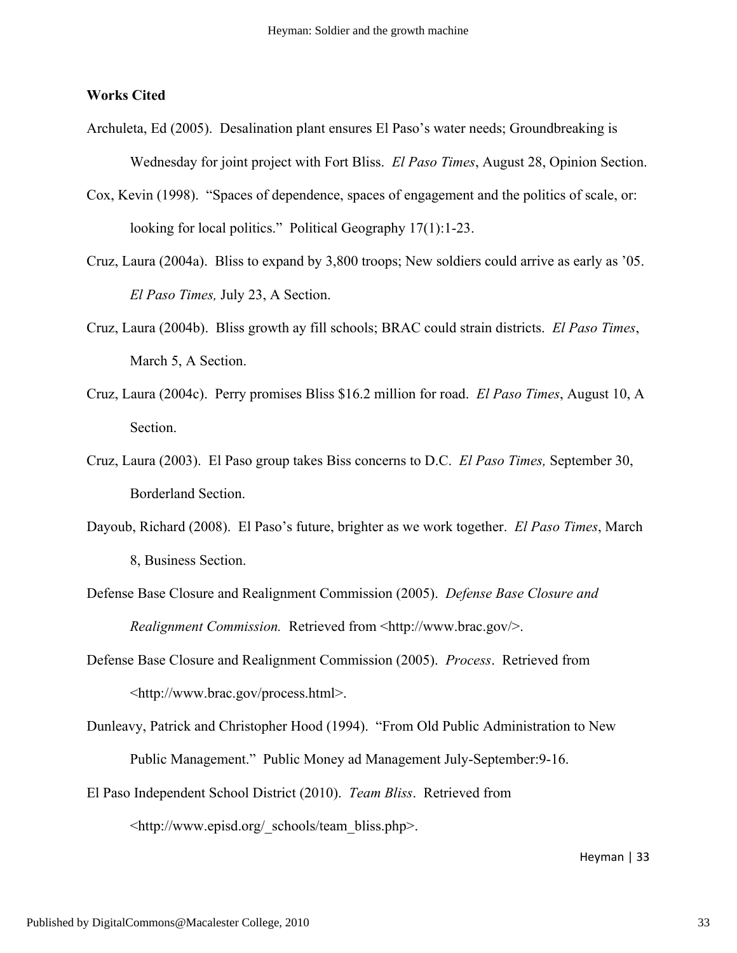#### **Works Cited**

- Archuleta, Ed (2005). Desalination plant ensures El Paso's water needs; Groundbreaking is Wednesday for joint project with Fort Bliss. *El Paso Times*, August 28, Opinion Section.
- Cox, Kevin (1998). "Spaces of dependence, spaces of engagement and the politics of scale, or: looking for local politics." Political Geography 17(1):1-23.
- Cruz, Laura (2004a). Bliss to expand by 3,800 troops; New soldiers could arrive as early as '05. *El Paso Times,* July 23, A Section.
- Cruz, Laura (2004b). Bliss growth ay fill schools; BRAC could strain districts. *El Paso Times*, March 5, A Section.
- Cruz, Laura (2004c). Perry promises Bliss \$16.2 million for road. *El Paso Times*, August 10, A Section.
- Cruz, Laura (2003). El Paso group takes Biss concerns to D.C. *El Paso Times,* September 30, Borderland Section.
- Dayoub, Richard (2008). El Paso's future, brighter as we work together. *El Paso Times*, March 8, Business Section.
- Defense Base Closure and Realignment Commission (2005). *Defense Base Closure and Realignment Commission.* Retrieved from <http://www.brac.gov/>.
- Defense Base Closure and Realignment Commission (2005). *Process*. Retrieved from <http://www.brac.gov/process.html>.
- Dunleavy, Patrick and Christopher Hood (1994). "From Old Public Administration to New Public Management." Public Money ad Management July-September:9-16.
- El Paso Independent School District (2010). *Team Bliss*. Retrieved from <http://www.episd.org/\_schools/team\_bliss.php>.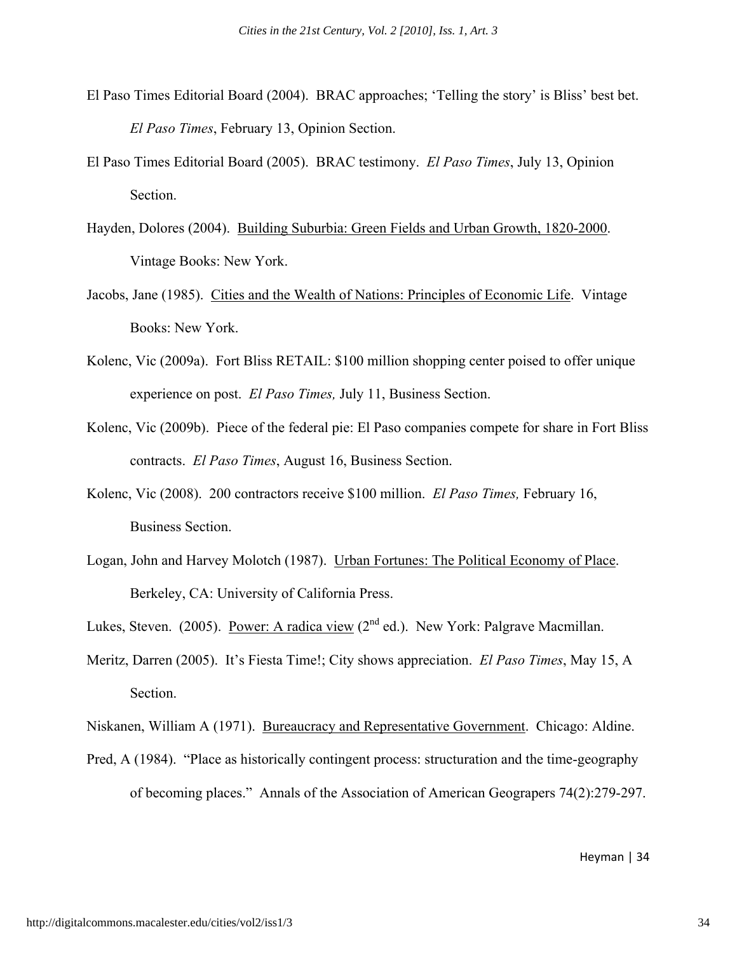- El Paso Times Editorial Board (2004). BRAC approaches; 'Telling the story' is Bliss' best bet. *El Paso Times*, February 13, Opinion Section.
- El Paso Times Editorial Board (2005). BRAC testimony. *El Paso Times*, July 13, Opinion Section.
- Hayden, Dolores (2004). Building Suburbia: Green Fields and Urban Growth, 1820-2000. Vintage Books: New York.
- Jacobs, Jane (1985). Cities and the Wealth of Nations: Principles of Economic Life. Vintage Books: New York.
- Kolenc, Vic (2009a). Fort Bliss RETAIL: \$100 million shopping center poised to offer unique experience on post. *El Paso Times,* July 11, Business Section.
- Kolenc, Vic (2009b). Piece of the federal pie: El Paso companies compete for share in Fort Bliss contracts. *El Paso Times*, August 16, Business Section.
- Kolenc, Vic (2008). 200 contractors receive \$100 million. *El Paso Times,* February 16, Business Section.
- Logan, John and Harvey Molotch (1987). Urban Fortunes: The Political Economy of Place. Berkeley, CA: University of California Press.
- Lukes, Steven. (2005). Power: A radica view ( $2<sup>nd</sup>$  ed.). New York: Palgrave Macmillan.
- Meritz, Darren (2005). It's Fiesta Time!; City shows appreciation. *El Paso Times*, May 15, A Section.

Niskanen, William A (1971). Bureaucracy and Representative Government. Chicago: Aldine.

Pred, A (1984). "Place as historically contingent process: structuration and the time-geography of becoming places." Annals of the Association of American Geograpers 74(2):279-297.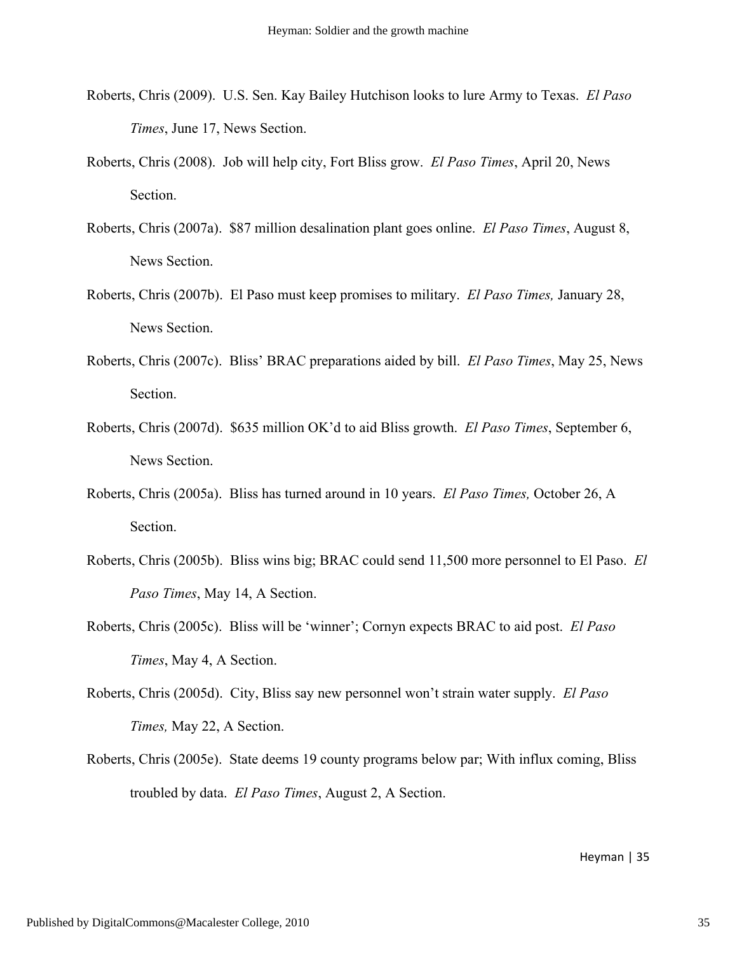- Roberts, Chris (2009). U.S. Sen. Kay Bailey Hutchison looks to lure Army to Texas. *El Paso Times*, June 17, News Section.
- Roberts, Chris (2008). Job will help city, Fort Bliss grow. *El Paso Times*, April 20, News Section.
- Roberts, Chris (2007a). \$87 million desalination plant goes online. *El Paso Times*, August 8, News Section.
- Roberts, Chris (2007b). El Paso must keep promises to military. *El Paso Times,* January 28, News Section.
- Roberts, Chris (2007c). Bliss' BRAC preparations aided by bill. *El Paso Times*, May 25, News Section.
- Roberts, Chris (2007d). \$635 million OK'd to aid Bliss growth. *El Paso Times*, September 6, News Section.
- Roberts, Chris (2005a). Bliss has turned around in 10 years. *El Paso Times,* October 26, A Section.
- Roberts, Chris (2005b). Bliss wins big; BRAC could send 11,500 more personnel to El Paso. *El Paso Times*, May 14, A Section.
- Roberts, Chris (2005c). Bliss will be 'winner'; Cornyn expects BRAC to aid post. *El Paso Times*, May 4, A Section.
- Roberts, Chris (2005d). City, Bliss say new personnel won't strain water supply. *El Paso Times,* May 22, A Section.
- Roberts, Chris (2005e). State deems 19 county programs below par; With influx coming, Bliss troubled by data. *El Paso Times*, August 2, A Section.